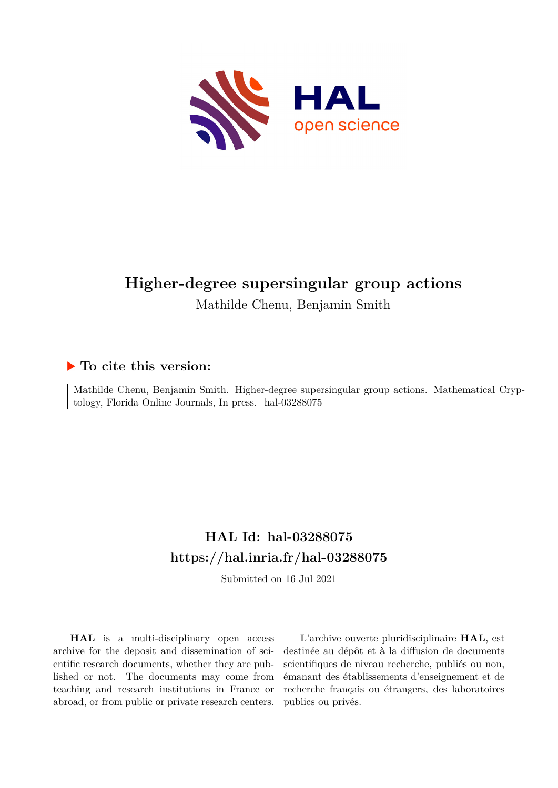

# **Higher-degree supersingular group actions**

Mathilde Chenu, Benjamin Smith

# **To cite this version:**

Mathilde Chenu, Benjamin Smith. Higher-degree supersingular group actions. Mathematical Cryptology, Florida Online Journals, In press. hal-03288075

# **HAL Id: hal-03288075 <https://hal.inria.fr/hal-03288075>**

Submitted on 16 Jul 2021

**HAL** is a multi-disciplinary open access archive for the deposit and dissemination of scientific research documents, whether they are published or not. The documents may come from teaching and research institutions in France or abroad, or from public or private research centers.

L'archive ouverte pluridisciplinaire **HAL**, est destinée au dépôt et à la diffusion de documents scientifiques de niveau recherche, publiés ou non, émanant des établissements d'enseignement et de recherche français ou étrangers, des laboratoires publics ou privés.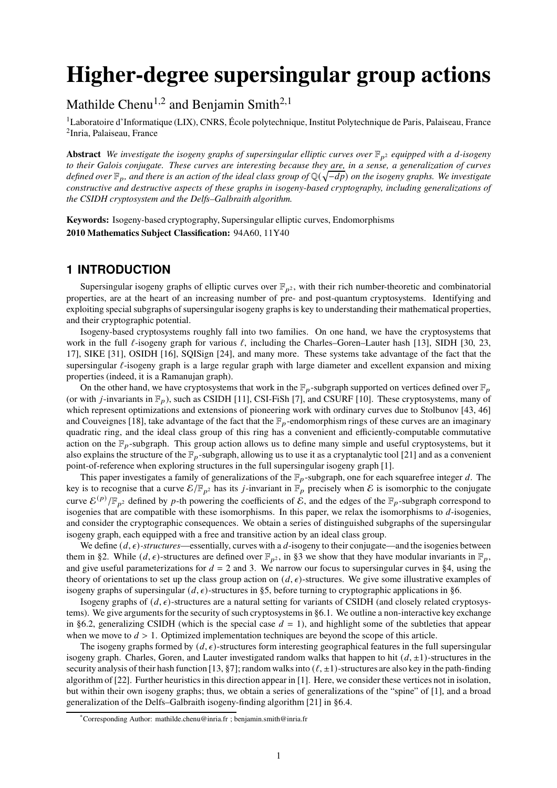# **Higher-degree supersingular group actions**

Mathilde Chenu<sup>1,2</sup> and Benjamin Smith<sup>2,1</sup>

<sup>1</sup>Laboratoire d'Informatique (LIX), CNRS, École polytechnique, Institut Polytechnique de Paris, Palaiseau, France <sup>2</sup>Inria, Palaiseau, France

**Abstract** *We investigate the isogeny graphs of supersingular elliptic curves over*  $\mathbb{F}_{p^2}$  *equipped with a d-isogeny to their Galois conjugate. These curves are interesting because they are, in a sense, a generalization of curves* defined over  $\mathbb{F}_p$ , and there is an action of the ideal class group of Q(√−dp) on the isogeny graphs. We investigate *constructive and destructive aspects of these graphs in isogeny-based cryptography, including generalizations of the CSIDH cryptosystem and the Delfs–Galbraith algorithm.*

**Keywords:** Isogeny-based cryptography, Supersingular elliptic curves, Endomorphisms **2010 Mathematics Subject Classification:** 94A60, 11Y40

## **1 INTRODUCTION**

Supersingular isogeny graphs of elliptic curves over  $\mathbb{F}_{p^2}$ , with their rich number-theoretic and combinatorial properties, are at the heart of an increasing number of pre- and post-quantum cryptosystems. Identifying and exploiting special subgraphs of supersingular isogeny graphs is key to understanding their mathematical properties, and their cryptographic potential.

Isogeny-based cryptosystems roughly fall into two families. On one hand, we have the cryptosystems that work in the full  $\ell$ -isogeny graph for various  $\ell$ , including the Charles–Goren–Lauter hash [13], SIDH [30, 23, 17], SIKE [31], OSIDH [16], SQISign [24], and many more. These systems take advantage of the fact that the supersingular  $\ell$ -isogeny graph is a large regular graph with large diameter and excellent expansion and mixing properties (indeed, it is a Ramanujan graph).

On the other hand, we have cryptosystems that work in the  $\mathbb{F}_p$ -subgraph supported on vertices defined over  $\mathbb{F}_p$ (or with *j*-invariants in  $\mathbb{F}_p$ ), such as CSIDH [11], CSI-FiSh [7], and CSURF [10]. These cryptosystems, many of which represent optimizations and extensions of pioneering work with ordinary curves due to Stolbunov [43, 46] and Couveignes [18], take advantage of the fact that the  $\mathbb{F}_p$ -endomorphism rings of these curves are an imaginary quadratic ring, and the ideal class group of this ring has a convenient and efficiently-computable commutative action on the  $\mathbb{F}_p$ -subgraph. This group action allows us to define many simple and useful cryptosystems, but it also explains the structure of the  $\mathbb{F}_p$ -subgraph, allowing us to use it as a cryptanalytic tool [21] and as a convenient point-of-reference when exploring structures in the full supersingular isogeny graph [1].

This paper investigates a family of generalizations of the  $\mathbb{F}_p$ -subgraph, one for each squarefree integer d. The key is to recognise that a curve  $\mathcal{E}/\mathbb{F}_{p^2}$  has its *j*-invariant in  $\mathbb{F}_p$  precisely when  $\mathcal E$  is isomorphic to the conjugate curve  $\mathcal{E}^{(p)}/\mathbb{F}_{p^2}$  defined by p-th powering the coefficients of  $\mathcal{E}$ , and the edges of the  $\mathbb{F}_p$ -subgraph correspond to isogenies that are compatible with these isomorphisms. In this paper, we relax the isomorphisms to  $d$ -isogenies, and consider the cryptographic consequences. We obtain a series of distinguished subgraphs of the supersingular isogeny graph, each equipped with a free and transitive action by an ideal class group.

We define  $(d, \epsilon)$ -structures—essentially, curves with a d-isogeny to their conjugate—and the isogenies between them in §2. While  $(d, \epsilon)$ -structures are defined over  $\mathbb{F}_{p^2}$ , in §3 we show that they have modular invariants in  $\mathbb{F}_p$ , and give useful parameterizations for  $d = 2$  and 3. We narrow our focus to supersingular curves in §4, using the theory of orientations to set up the class group action on  $(d, \epsilon)$ -structures. We give some illustrative examples of isogeny graphs of supersingular  $(d, \epsilon)$ -structures in §5, before turning to cryptographic applications in §6.

Isogeny graphs of  $(d, \epsilon)$ -structures are a natural setting for variants of CSIDH (and closely related cryptosystems). We give arguments for the security of such cryptosystems in §6.1. We outline a non-interactive key exchange in §6.2, generalizing CSIDH (which is the special case  $d = 1$ ), and highlight some of the subtleties that appear when we move to  $d > 1$ . Optimized implementation techniques are beyond the scope of this article.

The isogeny graphs formed by  $(d, \epsilon)$ -structures form interesting geographical features in the full supersingular isogeny graph. Charles, Goren, and Lauter investigated random walks that happen to hit  $(d, \pm 1)$ -structures in the security analysis of their hash function [13, §7]; random walks into  $(\ell, \pm 1)$ -structures are also key in the path-finding algorithm of [22]. Further heuristics in this direction appear in [1]. Here, we consider these vertices not in isolation, but within their own isogeny graphs; thus, we obtain a series of generalizations of the "spine" of [1], and a broad generalization of the Delfs–Galbraith isogeny-finding algorithm [21] in §6.4.

<sup>\*</sup>Corresponding Author: mathilde.chenu@inria.fr ; benjamin.smith@inria.fr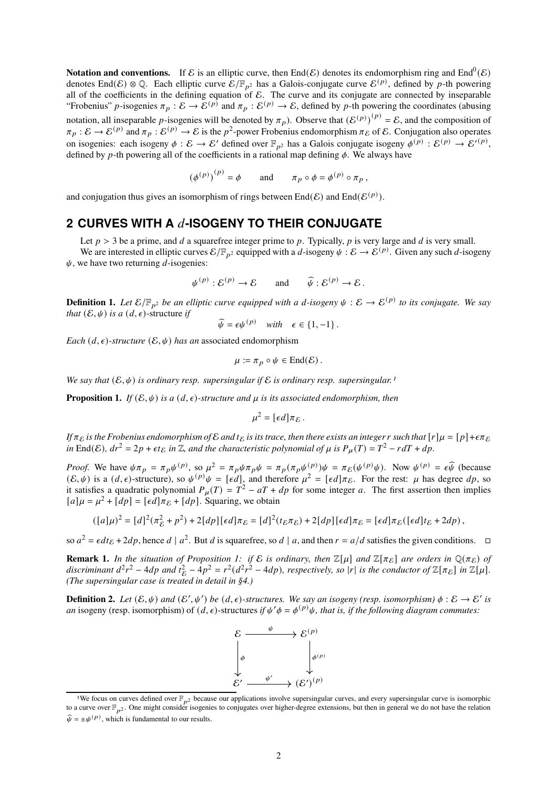**Notation and conventions.** If  $\mathcal E$  is an elliptic curve, then End( $\mathcal E$ ) denotes its endomorphism ring and End<sup>0</sup>( $\mathcal E$ ) denotes End(E)  $\otimes$  Q. Each elliptic curve  $\mathcal{E}/\mathbb{F}_{p^2}$  has a Galois-conjugate curve  $\mathcal{E}^{(p)}$ , defined by p-th powering all of the coefficients in the defining equation of  $\mathcal E$ . The curve and its conjugate are connected by inseparable "Frobenius" *p*-isogenies  $\pi_p : \mathcal{E} \to \mathcal{E}^{(p)}$  and  $\pi_p : \mathcal{E}^{(p)} \to \mathcal{E}$ , defined by *p*-th powering the coordinates (abusing notation, all inseparable *p*-isogenies will be denoted by  $\pi_p$ ). Observe that  $(\mathcal{E}^{(p)})^{(p)} = \mathcal{E}$ , and the composition of  $\pi_p : \mathcal{E} \to \mathcal{E}^{(p)}$  and  $\pi_p : \mathcal{E}^{(p)} \to \mathcal{E}$  is the  $p^2$ -power Frobenius endomorphism  $\pi_{\mathcal{E}}$  of  $\mathcal{E}$ . Conjugation also operates on isogenies: each isogeny  $\phi : \mathcal{E} \to \mathcal{E}'$  defined over  $\mathbb{F}_{p^2}$  has a Galois conjugate isogeny  $\phi^{(p)} : \mathcal{E}^{(p)} \to \mathcal{E}'^{(p)}$ , defined by p-th powering all of the coefficients in a rational map defining  $\phi$ . We always have

 $(\phi^{(p)})^{(p)} = \phi \quad \text{and} \quad \pi_p \circ \phi = \phi^{(p)} \circ \pi_p,$ 

and conjugation thus gives an isomorphism of rings between  $\text{End}(\mathcal{E})$  and  $\text{End}(\mathcal{E}^{(p)})$ .

## **2 CURVES WITH A** 𝑑**-ISOGENY TO THEIR CONJUGATE**

Let  $p > 3$  be a prime, and d a squarefree integer prime to p. Typically, p is very large and d is very small. We are interested in elliptic curves  $\mathcal{E}/\mathbb{F}_{p^2}$  equipped with a d-isogeny  $\psi:\mathcal{E}\to\mathcal{E}^{(p)}$ . Given any such d-isogeny  $\psi$ , we have two returning *d*-isogenies:

$$
\psi^{(p)} : \mathcal{E}^{(p)} \to \mathcal{E}
$$
 and  $\widehat{\psi} : \mathcal{E}^{(p)} \to \mathcal{E}$ .

**Definition 1.** Let  $\mathcal{E}/\mathbb{F}_{p^2}$  be an elliptic curve equipped with a d-isogeny  $\psi: \mathcal{E} \to \mathcal{E}^{(p)}$  to its conjugate. We say *that*  $(\mathcal{E}, \psi)$  *is a*  $(d, \epsilon)$ -structure *if* 

$$
\widehat{\psi} = \epsilon \psi^{(p)} \quad \text{with} \quad \epsilon \in \{1, -1\} \, .
$$

*Each*  $(d, \epsilon)$ *-structure*  $(\mathcal{E}, \psi)$  *has an* associated endomorphism

$$
\mu := \pi_p \circ \psi \in \text{End}(\mathcal{E})\,.
$$

*We say that*  $(E, \psi)$  *is ordinary resp. supersingular if* E *is ordinary resp. supersingular.<sup>1</sup>* 

**Proposition 1.** *If*  $(\mathcal{E}, \psi)$  *is a*  $(d, \epsilon)$ *-structure and*  $\mu$  *is its associated endomorphism, then* 

$$
\mu^2 = [\epsilon d] \pi_{\mathcal{E}}.
$$

*If*  $\pi_{\mathcal{E}}$  *is the Frobenius endomorphism of*  $\mathcal{E}$  *and*  $t_{\mathcal{E}}$  *is its trace, then there exists an integer* r *such that*  $[r]\mu = [p] + \epsilon \pi_{\mathcal{E}}$  $in$  End( $\mathcal{E}$ )*,*  $dr^2 = 2p + \epsilon t_{\mathcal{E}}$  *in*  $\mathbb{Z}$ *, and the characteristic polynomial of*  $\mu$  *is*  $P_{\mu}(T) = T^2 - r dT + dp$ *.* 

*Proof.* We have  $\psi \pi_p = \pi_p \psi^{(p)}$ , so  $\mu^2 = \pi_p \psi \pi_p \psi = \pi_p (\pi_p \psi^{(p)}) \psi = \pi_{\mathcal{E}}(\psi^{(p)} \psi)$ . Now  $\psi^{(p)} = \epsilon \widehat{\psi}$  (because  $(\mathcal{E}, \psi)$  is a  $(d, \epsilon)$ -structure), so  $\psi^{(p)}\psi = [\epsilon d]$ , and therefore  $\mu^2 = [\epsilon d]\pi_{\mathcal{E}}$ . For the rest:  $\mu$  has degree  $dp$ , so it satisfies a quadratic polynomial  $P_{\mu}(T) = T^2 - aT + dp$  for some integer a. The first assertion then implies  $[a]\mu = \mu^2 + [dp] = [\epsilon d]\pi_{\mathcal{E}} + [dp]$ . Squaring, we obtain

$$
([a]\mu)^2 = [d]^2(\pi_{\mathcal{E}}^2 + p^2) + 2[dp][\epsilon d]\pi_{\mathcal{E}} = [d]^2(t_{\mathcal{E}}\pi_{\mathcal{E}}) + 2[dp][\epsilon d]\pi_{\mathcal{E}} = [\epsilon d]\pi_{\mathcal{E}}([\epsilon d]t_{\mathcal{E}} + 2dp),
$$

so  $a^2 = \epsilon dt_{\epsilon} + 2dp$ , hence  $d | a^2$ . But  $d$  is squarefree, so  $d | a$ , and then  $r = a/d$  satisfies the given conditions.  $\Box$ 

**Remark 1.** *In the situation of Proposition 1: if*  $\mathcal{E}$  *is ordinary, then*  $\mathbb{Z}[\mu]$  *and*  $\mathbb{Z}[\pi_{\mathcal{E}}]$  *are orders in*  $\mathbb{Q}(\pi_{\mathcal{E}})$  *of* discriminant  $d^2r^2 - 4dp$  and  $t_{\mathcal{E}}^2 - 4p^2 = r^2(d^2r^2 - 4dp)$ , respectively, so |r| is the conductor of  $\mathbb{Z}[\pi_{\mathcal{E}}]$  in  $\mathbb{Z}[\mu]$ . E *(The supersingular case is treated in detail in §4.)*

**Definition 2.** Let  $(\mathcal{E}, \psi)$  and  $(\mathcal{E}', \psi')$  be  $(d, \epsilon)$ -structures. We say an isogeny (resp. isomorphism)  $\phi : \mathcal{E} \to \mathcal{E}'$  is *an* isogeny (resp. isomorphism) of  $(d, \epsilon)$ -structures *if*  $\psi' \phi = \phi^{(p)} \psi$ , *that is, if the following diagram commutes:* 



<sup>&</sup>lt;sup>1</sup>We focus on curves defined over  $\mathbb{F}_{p^2}$  because our applications involve supersingular curves, and every supersingular curve is isomorphic to a curve over  $\mathbb{F}_{n^2}$ . One might consider isogenies to conjugates over higher-degree extensions, but then in general we do not have the relation  $\widehat{\psi} = \pm \psi^{(p)}$ , which is fundamental to our results.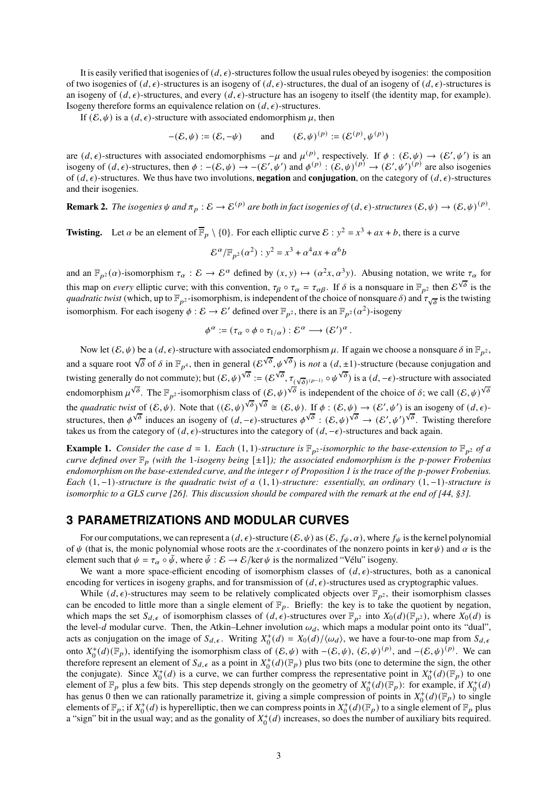It is easily verified that isogenies of  $(d, \epsilon)$ -structures follow the usual rules obeyed by isogenies: the composition of two isogenies of  $(d, \epsilon)$ -structures is an isogeny of  $(d, \epsilon)$ -structures, the dual of an isogeny of  $(d, \epsilon)$ -structures is an isogeny of  $(d, \epsilon)$ -structures, and every  $(d, \epsilon)$ -structure has an isogeny to itself (the identity map, for example). Isogeny therefore forms an equivalence relation on  $(d, \epsilon)$ -structures.

If  $(\mathcal{E}, \psi)$  is a  $(d, \epsilon)$ -structure with associated endomorphism  $\mu$ , then

$$
-(\mathcal{E}, \psi) := (\mathcal{E}, -\psi) \qquad \text{and} \qquad (\mathcal{E}, \psi)^{(p)} := (\mathcal{E}^{(p)}, \psi^{(p)})
$$

are  $(d, \epsilon)$ -structures with associated endomorphisms  $-\mu$  and  $\mu^{(p)}$ , respectively. If  $\phi : (\mathcal{E}, \psi) \to (\mathcal{E}', \psi')$  is an isogeny of  $(d, \epsilon)$ -structures, then  $\phi : -(E, \psi) \to -(E', \psi')$  and  $\phi^{(p)} : (E, \psi)^{(p)} \to (E', \psi')^{(p)}$  are also isogenies of  $(d, \epsilon)$ -structures. We thus have two involutions, **negation** and **conjugation**, on the category of  $(d, \epsilon)$ -structures and their isogenies.

**Remark 2.** The isogenies  $\psi$  and  $\pi_p : \mathcal{E} \to \mathcal{E}^{(p)}$  are both in fact isogenies of  $(d, \epsilon)$ -structures  $(\mathcal{E}, \psi) \to (\mathcal{E}, \psi)^{(p)}$ .

**Twisting.** Let  $\alpha$  be an element of  $\overline{\mathbb{F}}_p \setminus \{0\}$ . For each elliptic curve  $\mathcal{E} : y^2 = x^3 + ax + b$ , there is a curve

$$
\mathcal{E}^{\alpha}/\mathbb{F}_{p^2}(\alpha^2): y^2 = x^3 + \alpha^4 ax + \alpha^6 b
$$

and an  $\mathbb{F}_{p^2}(\alpha)$ -isomorphism  $\tau_\alpha : \mathcal{E} \to \mathcal{E}^\alpha$  defined by  $(x, y) \mapsto (\alpha^2 x, \alpha^3 y)$ . Abusing notation, we write  $\tau_\alpha$  for this map on *every* elliptic curve; with this convention,  $\tau_{\beta} \circ \tau_{\alpha} = \tau_{\alpha\beta}$ . If  $\delta$  is a nonsquare in  $\mathbb{F}_{p^2}$  then  $\mathcal{E}^{\sqrt{\delta}}$  is the *quadratic twist* (which, up to  $\mathbb{F}_{p^2}$ -isomorphism, is independent of the choice of nonsquare  $\delta$ ) and  $\tau_{\sqrt{\delta}}$  is the twisting isomorphism. For each isogeny  $\phi : \mathcal{E} \to \mathcal{E}'$  defined over  $\mathbb{F}_{p^2}$ , there is an  $\mathbb{F}_{p^2}(\alpha^2)$ -isogeny

$$
\phi^{\alpha} := (\tau_{\alpha} \circ \phi \circ \tau_{1/\alpha}) : \mathcal{E}^{\alpha} \longrightarrow (\mathcal{E}')^{\alpha}.
$$

Now let  $(\mathcal{E}, \psi)$  be a  $(d, \epsilon)$ -structure with associated endomorphism  $\mu$ . If again we choose a nonsquare  $\delta$  in  $\mathbb{F}_{p^2}$ , and a square root  $\sqrt{\delta}$  of  $\delta$  in  $\mathbb{F}_{p^4}$ , then in general  $(\mathcal{E}^{\sqrt{\delta}}, \psi^{\sqrt{\delta}})$  is *not* a  $(d, \pm 1)$ -structure (because conjugation and twisting generally do not commute); but  $(\mathcal{E}, \psi)^{\sqrt{\delta}} := (\mathcal{E}^{\sqrt{\delta}}, \tau_{(\sqrt{\delta})^{(p-1)}} \circ \psi^{\sqrt{\delta}})$  is a  $(d, -\epsilon)$ -structure with associated endomorphism  $\mu^{\sqrt{\delta}}$ . The  $\mathbb{F}_{p^2}$ -isomorphism class of  $(\mathcal{E}, \psi)^{\sqrt{\delta}}$  is independent of the choice of  $\delta$ ; we call  $(\mathcal{E}, \psi)^{\sqrt{\delta}}$ the *quadratic twist* of  $(\mathcal{E}, \psi)$ . Note that  $((\mathcal{E}, \psi)^{\sqrt{\delta}})$  $\sqrt{\delta} \cong (\mathcal{E}, \psi)$ . If  $\phi : (\mathcal{E}, \psi) \to (\mathcal{E}', \psi')$  is an isogeny of  $(d, \epsilon)$ structures, then  $\phi^{\sqrt{\delta}}$  induces an isogeny of  $(d, -\epsilon)$ -structures  $\phi^{\sqrt{\delta}}$  :  $(\mathcal{E}, \psi)^{\sqrt{\delta}} \to (\mathcal{E}', \psi')$  $\sqrt{\delta}$ . Twisting therefore takes us from the category of  $(d, \epsilon)$ -structures into the category of  $(d, -\epsilon)$ -structures and back again.

**Example 1.** *Consider the case d* = 1*. Each* (1, 1)*-structure is*  $\mathbb{F}_{p^2}$ *-isomorphic to the base-extension to*  $\mathbb{F}_{p^2}$  *of a curve defined over*  $\mathbb{F}_p$  (with the 1*-isogeny being* [ $\pm 1$ ]*); the associated endomorphism is the p-power Frobenius endomorphism on the base-extended curve, and the integer r of Proposition 1 is the trace of the p-power Frobenius. Each* (1, −1)*-structure is the quadratic twist of a* (1, 1)*-structure: essentially, an ordinary* (1, −1)*-structure is isomorphic to a GLS curve [26]. This discussion should be compared with the remark at the end of [44, §3].*

# **3 PARAMETRIZATIONS AND MODULAR CURVES**

For our computations, we can represent a  $(d, \epsilon)$ -structure  $(\mathcal{E}, \psi)$  as  $(\mathcal{E}, f_{\psi}, \alpha)$ , where  $f_{\psi}$  is the kernel polynomial of  $\psi$  (that is, the monic polynomial whose roots are the x-coordinates of the nonzero points in ker  $\psi$ ) and  $\alpha$  is the element such that  $\psi = \tau_\alpha \circ \tilde{\psi}$ , where  $\tilde{\psi}: \mathcal{E} \to \mathcal{E}/\text{ker }\psi$  is the normalized "Vélu" isogeny.

We want a more space-efficient encoding of isomorphism classes of  $(d, \epsilon)$ -structures, both as a canonical encoding for vertices in isogeny graphs, and for transmission of  $(d, \epsilon)$ -structures used as cryptographic values.

While  $(d, \epsilon)$ -structures may seem to be relatively complicated objects over  $\mathbb{F}_{p^2}$ , their isomorphism classes can be encoded to little more than a single element of  $\mathbb{F}_p$ . Briefly: the key is to take the quotient by negation, which maps the set  $S_{d,\epsilon}$  of isomorphism classes of  $(d,\epsilon)$ -structures over  $\mathbb{F}_{p^2}$  into  $X_0(d)(\mathbb{F}_{p^2})$ , where  $X_0(d)$  is the level-d modular curve. Then, the Atkin–Lehner involution  $\omega_d$ , which maps a modular point onto its "dual", acts as conjugation on the image of  $S_{d,\epsilon}$ . Writing  $X_0^+(d) = X_0(d)/\langle \omega_d \rangle$ , we have a four-to-one map from  $S_{d,\epsilon}$ onto  $X_0^+(d)(\mathbb{F}_p)$ , identifying the isomorphism class of  $(\mathcal{E}, \psi)$  with  $-(\mathcal{E}, \psi)$ ,  $(\mathcal{E}, \psi)^{(p)}$ , and  $-(\mathcal{E}, \psi)^{(p)}$ . We can therefore represent an element of  $S_{d,\epsilon}$  as a point in  $X_0^+(d)(\mathbb{F}_p)$  plus two bits (one to determine the sign, the other the conjugate). Since  $X_0^+(d)$  is a curve, we can further compress the representative point in  $X_0^+(d)(\mathbb{F}_p)$  to one element of  $\mathbb{F}_p$  plus a few bits. This step depends strongly on the geometry of  $X_0^+(d)(\mathbb{F}_p)$ : for example, if  $X_0^+(d)$ has genus 0 then we can rationally parametrize it, giving a simple compression of points in  $X_0^+(d)(\mathbb{F}_p)$  to single elements of  $\mathbb{F}_p$ ; if  $X_0^+(d)$  is hyperelliptic, then we can compress points in  $X_0^+(d)(\mathbb{F}_p)$  to a single element of  $\mathbb{F}_p$  plus a "sign" bit in the usual way; and as the gonality of  $X_0^+(d)$  increases, so does the number of auxiliary bits required.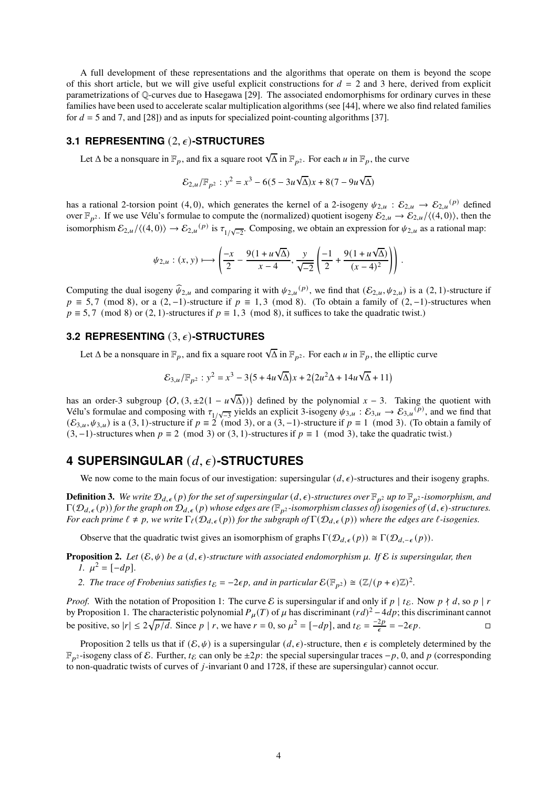A full development of these representations and the algorithms that operate on them is beyond the scope of this short article, but we will give useful explicit constructions for  $d = 2$  and 3 here, derived from explicit parametrizations of Q-curves due to Hasegawa [29]. The associated endomorphisms for ordinary curves in these families have been used to accelerate scalar multiplication algorithms (see [44], where we also find related families for  $d = 5$  and 7, and [28]) and as inputs for specialized point-counting algorithms [37].

#### **3.1 REPRESENTING** (2, 𝜖)**-STRUCTURES**

Let  $\Delta$  be a nonsquare in  $\mathbb{F}_p$ , and fix a square root  $\sqrt{\Delta}$  in  $\mathbb{F}_{p^2}$ . For each  $u$  in  $\mathbb{F}_p$ , the curve

$$
\mathcal{E}_{2,u}/\mathbb{F}_{p^2}: y^2 = x^3 - 6(5 - 3u\sqrt{\Delta})x + 8(7 - 9u\sqrt{\Delta})
$$

has a rational 2-torsion point (4,0), which generates the kernel of a 2-isogeny  $\psi_{2,u} : \mathcal{E}_{2,u} \to \mathcal{E}_{2,u}^{(p)}$  defined over  $\mathbb{F}_{p^2}$ . If we use Vélu's formulae to compute the (normalized) quotient isogeny  $\mathcal{E}_{2,u} \to \mathcal{E}_{2,u}/\langle (4,0) \rangle$ , then the isomorphism  $\mathcal{E}_{2,u}/\langle (4,0) \rangle \to \mathcal{E}_{2,u}^{(p)}$  is  $\tau_{1/\sqrt{-2}}$ . Composing, we obtain an expression for  $\psi_{2,u}$  as a rational map:

$$
\psi_{2,u}: (x,y) \longmapsto \left(\frac{-x}{2} - \frac{9(1+u\sqrt{\Delta})}{x-4}, \frac{y}{\sqrt{-2}} \left(\frac{-1}{2} + \frac{9(1+u\sqrt{\Delta})}{(x-4)^2}\right)\right)
$$

.

Computing the dual isogeny  $\hat{\psi}_{2,u}$  and comparing it with  $\psi_{2,u}^{(p)}$ , we find that  $(\mathcal{E}_{2,u}, \psi_{2,u})$  is a  $(2, 1)$ -structure if  $p \equiv 5,7 \pmod{8}$ , or a  $(2,-1)$ -structure if  $p \equiv 1,3 \pmod{8}$ . (To obtain a family of  $(2,-1)$ -structures when  $p \equiv 5, 7 \pmod{8}$  or (2, 1)-structures if  $p \equiv 1, 3 \pmod{8}$ , it suffices to take the quadratic twist.)

#### **3.2 REPRESENTING** (3,  $\epsilon$ )**-STRUCTURES**

Let  $\Delta$  be a nonsquare in  $\mathbb{F}_p$ , and fix a square root  $\sqrt{\Delta}$  in  $\mathbb{F}_{p^2}$ . For each  $u$  in  $\mathbb{F}_p$ , the elliptic curve

$$
\mathcal{E}_{3,u}/\mathbb{F}_{p^2}: y^2 = x^3 - 3\left(5 + 4u\sqrt{\Delta}\right)x + 2\left(2u^2\Delta + 14u\sqrt{\Delta} + 11\right)
$$

has an order-3 subgroup  $\{O, (3, \pm 2(1 - u\sqrt{\Delta}))\}$  defined by the polynomial  $x - 3$ . Taking the quotient with Vélu's formulae and composing with  $\tau_{1/\sqrt{-3}}$  yields an explicit 3-isogeny  $\psi_{3,u} : \mathcal{E}_{3,u} \to \mathcal{E}_{3,u}^{(p)}$ , and we find that  $(\mathcal{E}_{3,\mu}, \psi_{3,\mu})$  is a (3, 1)-structure if  $p \equiv 2 \pmod{3}$ , or a (3, -1)-structure if  $p \equiv 1 \pmod{3}$ . (To obtain a family of  $(3, -1)$ -structures when  $p \equiv 2 \pmod{3}$  or  $(3, 1)$ -structures if  $p \equiv 1 \pmod{3}$ , take the quadratic twist.)

# **4 SUPERSINGULAR** (𝑑, 𝜖)**-STRUCTURES**

We now come to the main focus of our investigation: supersingular  $(d, \epsilon)$ -structures and their isogeny graphs.

**Definition 3.** We write  $\mathcal{D}_{d,\epsilon}(p)$  for the set of supersingular  $(d,\epsilon)$ -structures over  $\mathbb{F}_{p^2}$  up to  $\mathbb{F}_{p^2}$ -isomorphism, and  $\Gamma(\mathcal{D}_{d,\epsilon}(p))$  for the graph on  $\mathcal{D}_{d,\epsilon}(p)$  whose edges are ( $\mathbb{F}_{p^2}$ -isomorphism classes of) isogenies of  $(d,\epsilon)$ -structures. *For each prime*  $\ell \neq p$ , we write  $\Gamma_{\ell}(\mathcal{D}_{d,\epsilon}(p))$  *for the subgraph of*  $\Gamma(\mathcal{D}_{d,\epsilon}(p))$  *where the edges are*  $\ell$ *-isogenies.* 

Observe that the quadratic twist gives an isomorphism of graphs  $\Gamma(\mathcal{D}_{d,\epsilon}(p)) \cong \Gamma(\mathcal{D}_{d,-\epsilon}(p)).$ 

**Proposition 2.** Let  $(\mathcal{E}, \psi)$  be a  $(d, \epsilon)$ -structure with associated endomorphism  $\mu$ . If  $\mathcal{E}$  is supersingular, then *1.*  $\mu^2 = [-dp].$ 

2. The trace of Frobenius satisfies  $t_{\mathcal{E}} = -2\epsilon p$ , and in particular  $\mathcal{E}(\mathbb{F}_{p^2}) \cong (\mathbb{Z}/(p+\epsilon)\mathbb{Z})^2$ .

*Proof.* With the notation of Proposition 1: The curve E is supersingular if and only if  $p \mid t_{\mathcal{E}}$ . Now  $p \nmid d$ , so  $p \mid r$ by Proposition 1. The characteristic polynomial  $P_{\mu}(T)$  of  $\mu$  has discriminant  $(rd)^{2} - 4dp$ ; this discriminant cannot be positive, so  $|r| \le 2\sqrt{p/d}$ . Since  $p | r$ , we have  $r = 0$ , so  $\mu^2 = [-dp]$ , and  $t_{\mathcal{E}} = \frac{-2p}{\epsilon} = -2\epsilon p$ .

Proposition 2 tells us that if  $(\mathcal{E}, \psi)$  is a supersingular  $(d, \epsilon)$ -structure, then  $\epsilon$  is completely determined by the  $\mathbb{F}_{p^2}$ -isogeny class of E. Further,  $t_{\mathcal{E}}$  can only be  $\pm 2p$ : the special supersingular traces  $-p$ , 0, and p (corresponding to non-quadratic twists of curves of  $j$ -invariant 0 and 1728, if these are supersingular) cannot occur.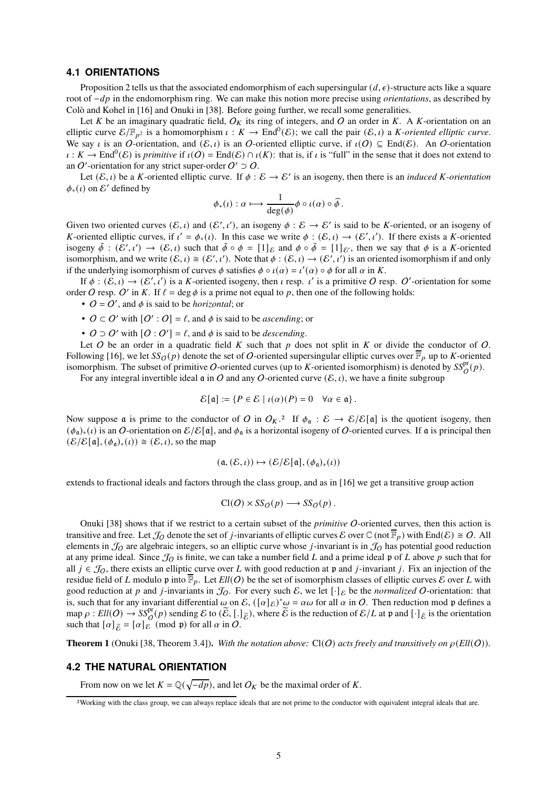#### **4.1 ORIENTATIONS**

Proposition 2 tells us that the associated endomorphism of each supersingular  $(d, \epsilon)$ -structure acts like a square root of  $-dp$  in the endomorphism ring. We can make this notion more precise using *orientations*, as described by Colò and Kohel in [16] and Onuki in [38]. Before going further, we recall some generalities.

Let K be an imaginary quadratic field,  $O_K$  its ring of integers, and O an order in K. A K-orientation on an elliptic curve  $\mathcal{E}/\mathbb{F}_{p^2}$  is a homomorphism  $\iota : K \to \text{End}^0(\mathcal{E})$ ; we call the pair  $(\mathcal{E}, \iota)$  a *K*-oriented elliptic curve. We say *i* is an O-orientation, and  $(\mathcal{E}, \iota)$  is an O-oriented elliptic curve, if  $\iota(\mathcal{O}) \subseteq$  End( $\mathcal{E}$ ). An O-orientation  $\iota : K \to \text{End}^0(\mathcal{E})$  is *primitive* if  $\iota(\mathcal{O}) = \text{End}(\mathcal{E}) \cap \iota(K)$ : that is, if  $\iota$  is "full" in the sense that it does not extend to an O'-orientation for any strict super-order  $O' \supset O$ .

Let  $(\mathcal{E}, \iota)$  be a *K*-oriented elliptic curve. If  $\phi : \mathcal{E} \to \mathcal{E}'$  is an isogeny, then there is an *induced K-orientation*  $\phi_*(\iota)$  on  $\mathcal{E}'$  defined by

$$
\phi_*(\iota): \alpha \longmapsto \frac{1}{\deg(\phi)} \phi \circ \iota(\alpha) \circ \widehat{\phi}.
$$

Given two oriented curves  $(\mathcal{E}, \iota)$  and  $(\mathcal{E}', \iota')$ , an isogeny  $\phi : \mathcal{E} \to \mathcal{E}'$  is said to be K-oriented, or an isogeny of K-oriented elliptic curves, if  $\iota' = \phi_*(\iota)$ . In this case we write  $\phi : (\mathcal{E}, \iota) \to (\mathcal{E}', \iota')$ . If there exists a K-oriented isogeny  $\tilde{\phi}$  :  $(\mathcal{E}', \iota') \to (\mathcal{E}, \iota)$  such that  $\tilde{\phi} \circ \phi = [1]_{\mathcal{E}}$  and  $\phi \circ \tilde{\phi} = [1]_{\mathcal{E}'}$ , then we say that  $\phi$  is a K-oriented isomorphism, and we write  $(\mathcal{E}, \iota) \cong (\mathcal{E}', \iota')$ . Note that  $\phi : (\mathcal{E}, \iota) \to (\mathcal{E}', \iota')$  is an oriented isomorphism if and only if the underlying isomorphism of curves  $\phi$  satisfies  $\phi \circ \iota(\alpha) = \iota'(\alpha) \circ \phi$  for all  $\alpha$  in K.

If  $\phi : (\mathcal{E}, \iota) \to (\mathcal{E}', \iota')$  is a K-oriented isogeny, then  $\iota$  resp.  $\iota'$  is a primitive O resp. O'-orientation for some order O resp. O' in K. If  $\ell = \deg \phi$  is a prime not equal to p, then one of the following holds:

- $O = O'$ , and  $\phi$  is said to be *horizontal*; or
- $O \subset O'$  with  $[O':O] = \ell$ , and  $\phi$  is said to be *ascending*; or
- $O \supset O'$  with  $[O : O'] = \ell$ , and  $\phi$  is said to be *descending*.

Let O be an order in a quadratic field  $K$  such that  $p$  does not split in  $K$  or divide the conductor of O. Following [16], we let  $SS_O(p)$  denote the set of O-oriented supersingular elliptic curves over  $\overline{\mathbb{F}}_p$  up to K-oriented isomorphism. The subset of primitive O-oriented curves (up to K-oriented isomorphism) is denoted by  $SS_{O}^{pr}(p)$ .

For any integral invertible ideal  $\alpha$  in O and any O-oriented curve  $(\mathcal{E}, \iota)$ , we have a finite subgroup

$$
\mathcal{E}[\mathfrak{a}] := \{ P \in \mathcal{E} \mid \iota(\alpha)(P) = 0 \quad \forall \alpha \in \mathfrak{a} \}.
$$

Now suppose  $\mathfrak a$  is prime to the conductor of O in  $O_K$ .<sup>2</sup> If  $\phi_{\mathfrak a}: \mathcal E \to \mathcal E/\mathcal E[\mathfrak a]$  is the quotient isogeny, then  $(\phi_a)_*(\iota)$  is an O-orientation on  $\mathcal{E}/\mathcal{E}[\mathfrak{a}]$ , and  $\phi_\mathfrak{a}$  is a horizontal isogeny of O-oriented curves. If  $\mathfrak{a}$  is principal then  $(\mathcal{E}/\mathcal{E}[\mathfrak{a}], (\phi_{\mathfrak{a}})_*(\iota)) \cong (\mathcal{E}, \iota)$ , so the map

$$
(\mathfrak{a},(\mathcal{E},\iota)) \mapsto (\mathcal{E}/\mathcal{E}[\mathfrak{a}],(\phi_{\mathfrak{a}})_*(\iota))
$$

extends to fractional ideals and factors through the class group, and as in [16] we get a transitive group action

$$
Cl(O) \times SS_O(p) \longrightarrow SS_O(p) .
$$

Onuki [38] shows that if we restrict to a certain subset of the *primitive* O-oriented curves, then this action is transitive and free. Let  $\mathcal{J}_O$  denote the set of *j*-invariants of elliptic curves  $\mathcal E$  over  $\mathbb C$  (not  $\overline{\mathbb F}_p$ ) with End( $\mathcal E$ )  $\cong$  O. All elements in  $\mathcal{J}_O$  are algebraic integers, so an elliptic curve whose *j*-invariant is in  $\mathcal{J}_O$  has potential good reduction at any prime ideal. Since  $\mathcal{J}_O$  is finite, we can take a number field L and a prime ideal  $\mathfrak p$  of L above p such that for all  $j \in \mathcal{J}_Q$ , there exists an elliptic curve over L with good reduction at p and j-invariant j. Fix an injection of the residue field of L modulo p into  $\overline{\mathbb{F}}_p$ . Let  $Ell(O)$  be the set of isomorphism classes of elliptic curves E over L with good reduction at p and j-invariants in  $\mathcal{J}_0$ . For every such  $\mathcal{E}$ , we let  $[\cdot]_{\mathcal{E}}$  be the *normalized* O-orientation: that is, such that for any invariant differential  $\omega$  on E,  $([\alpha]_{\varepsilon})^* \omega = \alpha \omega$  for all  $\alpha$  in O. Then reduction mod  $\mathfrak p$  defines a  $\text{map }\rho: Ell(O) \to \text{SS}^{\text{pr}}_{O}(p)$  sending  $\mathcal E$  to  $(\widetilde{\mathcal E}, [.]_{\widetilde{\mathcal E}})$ , where  $\widetilde{\mathcal E}$  is the reduction of  $\mathcal E/L$  at  $\mathfrak p$  and  $[\cdot]_{\widetilde{\mathcal E}}$  is the orientation such that  $[\alpha]_{\tilde{\mathcal{E}}} = [\alpha]_{\mathcal{E}} \pmod{\mathfrak{p}}$  for all  $\alpha$  in  $\tilde{O}$ .

**Theorem 1** (Onuki [38, Theorem 3.4]). With the notation above:  $Cl(O)$  acts freely and transitively on  $\rho$ ( $Ell(O)$ ).

#### **4.2 THE NATURAL ORIENTATION**

From now on we let  $K = \mathbb{Q}(\sqrt{-dp})$ , and let  $O_K$  be the maximal order of K.

<sup>2</sup>Working with the class group, we can always replace ideals that are not prime to the conductor with equivalent integral ideals that are.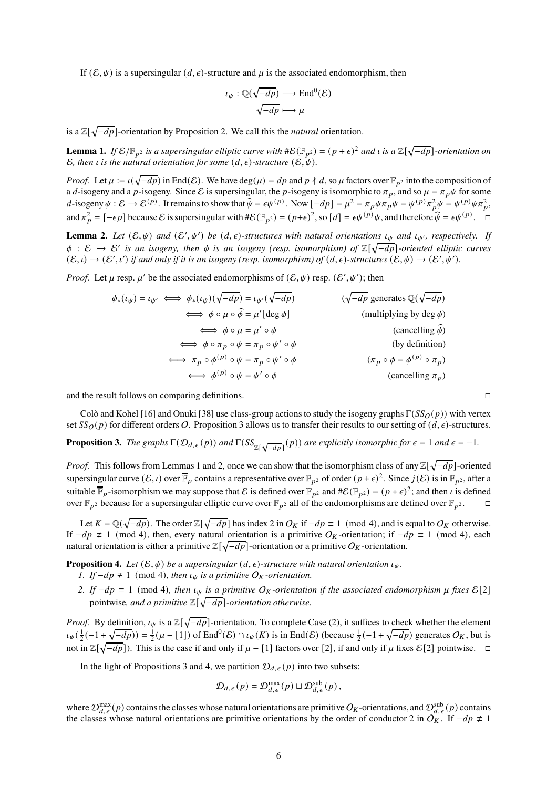If  $(\mathcal{E}, \psi)$  is a supersingular  $(d, \epsilon)$ -structure and  $\mu$  is the associated endomorphism, then

$$
\iota_{\psi}: \mathbb{Q}(\sqrt{-dp}) \longrightarrow \text{End}^{0}(\mathcal{E})
$$

$$
\sqrt{-dp} \longmapsto \mu
$$

is a  $\mathbb{Z}[\sqrt{-dp}]$ -orientation by Proposition 2. We call this the *natural* orientation.

**Lemma 1.** If  $\mathcal{E}/\mathbb{F}_{p^2}$  is a supersingular elliptic curve with  $\#\mathcal{E}(\mathbb{F}_{p^2}) = (p+\epsilon)^2$  and  $\iota$  is a  $\mathbb{Z}[\sqrt{-dp}]$ -orientation on E, then *i* is the natural orientation for some  $(d, \epsilon)$ -structure  $(\mathcal{E}, \psi)$ .

*Proof.* Let  $\mu := \iota(\sqrt{-dp})$  in End $(\mathcal{E})$ . We have  $\deg(\mu) = dp$  and  $p \nmid d$ , so  $\mu$  factors over  $\mathbb{F}_{p^2}$  into the composition of a d-isogeny and a p-isogeny. Since E is supersingular, the p-isogeny is isomorphic to  $\pi_p$ , and so  $\mu = \pi_p \psi$  for some d-isogeny  $\psi : \mathcal{E} \to \mathcal{E}^{(p)}$ . It remains to show that  $\widehat{\psi} = \epsilon \psi^{(p)}$ . Now  $[-dp] = \mu^2 = \pi_p \psi \pi_p \psi = \psi^{(p)} \pi_p^2 \psi = \psi^{(p)} \psi \pi_p^2$ , and  $\pi_p^2 = [-\epsilon p]$  because  $\mathcal E$  is supersingular with  $\#\mathcal E(\mathbb F_{p^2}) = (p+\epsilon)^2$ , so  $[d] = \epsilon \psi^{(p)} \psi$ , and therefore  $\widehat{\psi} = \epsilon \psi^{(p)}$ .

**Lemma 2.** Let  $(\mathcal{E}, \psi)$  and  $(\mathcal{E}', \psi')$  be  $(d, \epsilon)$ -structures with natural orientations  $\iota_{\psi}$  and  $\iota_{\psi'}$ , respectively. If  $φ$  :  $E$  →  $E'$  *is an isogeny, then*  $φ$  *is an isogeny (resp. isomorphism) of*  $\mathbb{Z}[\sqrt{-dp}]$ -oriented elliptic curves  $(\mathcal{E},\iota) \to (\mathcal{E}',\iota')$  if and only if it is an isogeny (resp. isomorphism) of  $(d,\epsilon)$ -structures  $(\mathcal{E},\psi) \to (\mathcal{E}',\psi').$ 

*Proof.* Let  $\mu$  resp.  $\mu'$  be the associated endomorphisms of  $(\mathcal{E}, \psi)$  resp.  $(\mathcal{E}', \psi')$ ; then

$$
\phi_*(\iota_{\psi}) = \iota_{\psi'} \iff \phi_*(\iota_{\psi})(\sqrt{-dp}) = \iota_{\psi'}(\sqrt{-dp}) \qquad (\sqrt{-dp} \text{ generates } \mathbb{Q}(\sqrt{-dp})
$$
  
\n
$$
\iff \phi \circ \mu \circ \widehat{\phi} = \mu' \text{ (deg }\phi) \qquad \text{(multiplying by deg }\phi)}
$$
  
\n
$$
\iff \phi \circ \mu = \mu' \circ \phi \qquad \text{(cancelling $\widehat{\phi}$)}
$$
  
\n
$$
\iff \phi \circ \pi_p \circ \psi = \pi_p \circ \psi' \circ \phi \qquad \text{(by definition)}
$$
  
\n
$$
\iff \pi_p \circ \phi^{(p)} \circ \psi = \pi_p \circ \psi' \circ \phi \qquad \text{(rightharpoonup p to $\pi_p$)}
$$
  
\n
$$
\iff \phi^{(p)} \circ \psi = \psi' \circ \phi \qquad \text{(cancelling $\pi_p$)}
$$

and the result follows on comparing definitions.

Colò and Kohel [16] and Onuki [38] use class-group actions to study the isogeny graphs  $\Gamma(SS_O(p))$  with vertex set  $SS_O(p)$  for different orders O. Proposition 3 allows us to transfer their results to our setting of  $(d, \epsilon)$ -structures.

**Proposition 3.** The graphs  $\Gamma(\mathcal{D}_{d,\epsilon}(p))$  and  $\Gamma(SS_{\mathbb{Z}[\sqrt{-dp}]}(p))$  are explicitly isomorphic for  $\epsilon = 1$  and  $\epsilon = -1$ .

*Proof.* This follows from Lemmas 1 and 2, once we can show that the isomorphism class of any  $\mathbb{Z}[\sqrt{-dp}]$ -oriented supersingular curve  $(\mathcal{E}, \iota)$  over  $\overline{\mathbb{F}}_p$  contains a representative over  $\mathbb{F}_{p^2}$  of order  $(p+\epsilon)^2$ . Since  $j(\mathcal{E})$  is in  $\mathbb{F}_{p^2}$ , after a suitable  $\overline{\mathbb{F}}_p$ -isomorphism we may suppose that  $\mathcal E$  is defined over  $\mathbb F_{p^2}$  and  $\#\mathcal E(\mathbb F_{p^2}) = (p + \epsilon)^2$ ; and then  $\iota$  is defined over  $\mathbb{F}_{p^2}$  because for a supersingular elliptic curve over  $\mathbb{F}_{p^2}$  all of the endomorphisms are defined over  $\mathbb{F}_{p^2}$ .

Let  $K = \mathbb{Q}(\sqrt{-dp})$ . The order  $\mathbb{Z}[\sqrt{-dp}]$  has index 2 in  $O_K$  if  $-dp \equiv 1 \pmod{4}$ , and is equal to  $O_K$  otherwise. If  $-dp \neq 1 \pmod{4}$ , then, every natural orientation is a primitive O<sub>K</sub>-orientation; if  $-dp \equiv 1 \pmod{4}$ , each natural orientation is either a primitive  $\mathbb{Z}[\sqrt{-dp}]$ -orientation or a primitive  $O_K$ -orientation.

**Proposition 4.** Let  $(\mathcal{E}, \psi)$  be a supersingular  $(d, \epsilon)$ *-structure with natural orientation*  $\iota_{\psi}$ *.* 

- *1. If* −*dp*  $\neq$  1 (mod 4)*, then*  $\iota_{\psi}$  *is a primitive*  $O_K$ -*orientation.*
- *2. If*  $-dp \equiv 1 \pmod{4}$ *, then*  $\iota_{\psi}$  *is a primitive*  $O_K$ *-orientation if the associated endomorphism*  $\mu$  *fixes*  $\mathcal{E}[2]$ pointwise, and a primitive  $\mathbb{Z}[\sqrt{-dp}]$ -orientation otherwise.

*Proof.* By definition,  $\iota_{\psi}$  is a  $\mathbb{Z}[\sqrt{-dp}]$ -orientation. To complete Case (2), it suffices to check whether the element  $\iota_{\psi}(\frac{1}{2}(-1+\sqrt{-dp})) = \frac{1}{2}(\mu - [1])$  of End<sup>0</sup>(E)  $\cap \iota_{\psi}(K)$  is in End(E) (because  $\frac{1}{2}(-1+\sqrt{-dp})$  generates  $O_K$ , but is not in  $\mathbb{Z}[\sqrt{-dp}]$ ). This is the case if and only if  $\mu - [1]$  factors over [2], if and only if  $\mu$  fixes  $\mathcal{E}[2]$  pointwise.  $\Box$ 

In the light of Propositions 3 and 4, we partition  $\mathcal{D}_{d,\epsilon}(p)$  into two subsets:

$$
\mathcal{D}_{d,\epsilon}(p) = \mathcal{D}_{d,\epsilon}^{\max}(p) \sqcup \mathcal{D}_{d,\epsilon}^{\text{sub}}(p),
$$

where  $\mathcal{D}_{d,\epsilon}^{\max}(p)$  contains the classes whose natural orientations are primitive  $O_K$ -orientations, and  $\mathcal{D}_{d,\epsilon}^{\text{sub}}(p)$  contains the classes whose natural orientations are primitive orientations by the order of conductor 2 in  $O_K^2$ . If  $-dp \neq 1$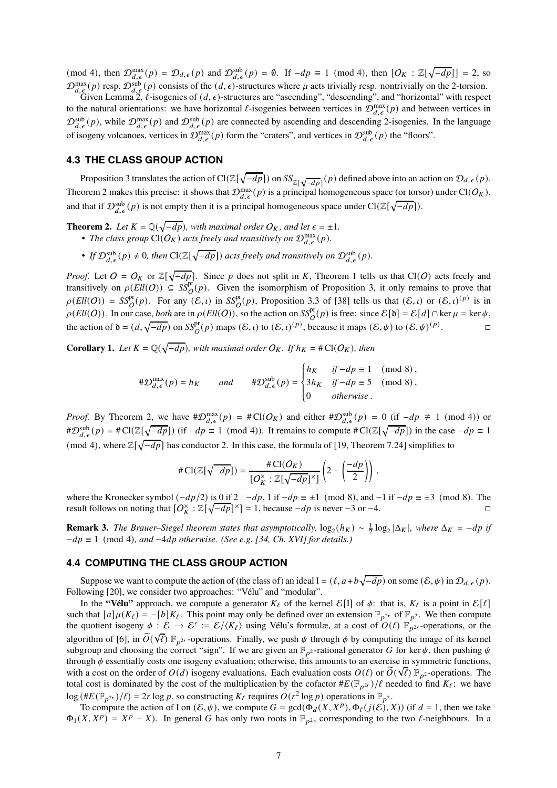(mod 4), then  $\mathcal{D}_{d,\epsilon}^{\max}(p) = \mathcal{D}_{d,\epsilon}(p)$  and  $\mathcal{D}_{d,\epsilon}^{\text{sub}}(p) = \emptyset$ . If  $-dp \equiv 1 \pmod{4}$ , then  $[O_K : \mathbb{Z}[\sqrt{-dp}] = 2$ , so  $\mathcal{D}_{d,\epsilon}^{\text{max}}(p)$  resp.  $\mathcal{D}_{d,\epsilon}^{\text{sub}}(p)$  consists of the  $(d,\epsilon)$ -structures where  $\mu$  acts trivially resp. nontrivially on the 2-torsion.

Given Lemma 2,  $\ell$ -isogenies of  $(d, \epsilon)$ -structures are "ascending", "descending", and "horizontal" with respect to the natural orientations: we have horizontal  $\ell$ -isogenies between vertices in  $\mathcal{D}_{d,\epsilon}^{\max}(p)$  and between vertices in  $\mathcal{D}_{d,\epsilon}^{sub}(p)$ , while  $\mathcal{D}_{d,\epsilon}^{max}(p)$  and  $\mathcal{D}_{d,\epsilon}^{sub}(p)$  are connected by ascending and descending 2-isogenies. In the language of isogeny volcanoes, vertices in  $\mathcal{D}_{d,\epsilon}^{\max}(p)$  form the "craters", and vertices in  $\mathcal{D}_{d,\epsilon}^{\text{sub}}(p)$  the "floors".

#### **4.3 THE CLASS GROUP ACTION**

Proposition 3 translates the action of  $Cl(\mathbb{Z}[\sqrt{-dp}])$  on  $SS_{\mathbb{Z}[\sqrt{-dp}]}(p)$  defined above into an action on  $\mathcal{D}_{d,\epsilon}(p)$ . Theorem 2 makes this precise: it shows that  $\mathcal{D}_{d,\epsilon}^{\max}(p)$  is a principal homogeneous space (or torsor) under Cl( $O_K$ ), and that if  $\mathcal{D}^{\text{sub}}_{d,\epsilon}(p)$  is not empty then it is a principal homogeneous space under  $Cl(\mathbb{Z}[\sqrt{-dp}]).$ 

- **Theorem 2.** *Let*  $K = \mathbb{Q}(\sqrt{-dp})$ *, with maximal order*  $O_K$ *, and let*  $\epsilon = \pm 1$ *.* • The class group  $\text{Cl}(O_K)$  acts freely and transitively on  $\mathcal{D}_{d,\epsilon}^{\max}(p)$ .
	- If  $\mathcal{D}_{d,\epsilon}^{\text{sub}}(p) \neq 0$ , then  $\text{Cl}(\mathbb{Z}[\sqrt{-dp}])$  acts freely and transitively on  $\mathcal{D}_{d,\epsilon}^{\text{sub}}(p)$ .

*Proof.* Let  $O = O_K$  or  $\mathbb{Z}[\sqrt{-dp}]$ . Since p does not split in K, Theorem 1 tells us that Cl(O) acts freely and transitively on  $\rho(Ell(O)) \subseteq S\mathcal{S}_O^{\text{pr}}(p)$ . Given the isomorphism of Proposition 3, it only remains to prove that  $\rho(Ell(O)) = SS_O^{\text{pr}}(p)$ . For any  $(\mathcal{E}, \iota)$  in  $SS_O^{\text{pr}}(p)$ , Proposition 3.3 of [38] tells us that  $(\mathcal{E}, \iota)$  or  $(\mathcal{E}, \iota)^{(p)}$  is in  $\rho$ (*Ell*(*O*)). In our case, *both* are in  $\rho$ (*Ell*(*O*)), so the action on *SS*<sup>pr</sup><sub>(</sub>p) is free: since  $\mathcal{E}[\mathfrak{d}] = \mathcal{E}[d] \cap \ker \mu = \ker \psi$ , the action of  $\mathfrak{d} = (d, \sqrt{-dp})$  on  $SS_{\mathcal{O}}^{\text{pr}}(p)$  maps  $(\mathcal{E}, \iota)$  to  $(\mathcal{E}, \iota)^{(p)}$ , because it maps  $(\mathcal{E}, \psi)$  to  $(\mathcal{E}, \psi)^{(p)}$ . — В

**Corollary 1.** Let  $K = \mathbb{Q}(\sqrt{-dp})$ , with maximal order  $O_K$ . If  $h_K = \text{\#Cl}(O_K)$ , then

$$
\#\mathcal{D}_{d,\epsilon}^{\max}(p) = h_K \quad \text{and} \quad \#\mathcal{D}_{d,\epsilon}^{\text{sub}}(p) = \begin{cases} h_K & \text{if } -dp \equiv 1 \pmod{8}, \\ 3h_K & \text{if } -dp \equiv 5 \pmod{8}, \\ 0 & \text{otherwise}. \end{cases}
$$

*Proof.* By Theorem 2, we have  $\#\mathcal{D}_{d,\epsilon}^{\max}(p) = \#\text{Cl}(O_K)$  and either  $\#\mathcal{D}_{d,\epsilon}^{\text{sub}}(p) = 0$  (if  $-dp \neq 1 \pmod{4}$ ) or  $\#\mathcal{D}_{d,\epsilon}^{\text{sub}}(p) = \#\text{Cl}(\mathbb{Z}[\sqrt{-dp}])$  (if  $-dp \equiv 1 \pmod{4}$ ). It remains to compute  $\#\text{Cl}(\mathbb{Z}[\sqrt{-dp}])$  in the case  $-dp \equiv 1$ (mod 4), where  $\mathbb{Z}[\sqrt{-dp}]$  has conductor 2. In this case, the formula of [19, Theorem 7.24] simplifies to

$$
\#\operatorname{Cl}(\mathbb{Z}[\sqrt{-dp}]) = \frac{\#\operatorname{Cl}(O_K)}{[O_K^\times : \mathbb{Z}[\sqrt{-dp}]^\times]} \left(2 - \left(\frac{-dp}{2}\right)\right),
$$

where the Kronecker symbol  $(-dp/2)$  is 0 if 2  $|-dp, 1$  if  $-dp \equiv \pm 1 \pmod{8}$ , and  $-1$  if  $-dp \equiv \pm 3 \pmod{8}$ . The result follows on noting that  $[O_K^{\times} : \mathbb{Z}[\sqrt{-dp}]^{\times}] = 1$ , because  $-dp$  is never -3 or -4.

**Remark 3.** *The Brauer–Siegel theorem states that asymptotically,*  $log_2(h_K) \sim \frac{1}{2} log_2 |\Delta_K|$ , where  $\Delta_K = -dp$  if  $-dp \equiv 1 \pmod{4}$ *, and*  $-4dp$  *otherwise. (See e.g. [34, Ch. XVI] for details.)* 

#### **4.4 COMPUTING THE CLASS GROUP ACTION**

Suppose we want to compute the action of (the class of) an ideal  $I = (\ell, a+b\sqrt{-dp})$  on some  $(\mathcal{E}, \psi)$  in  $\mathcal{D}_{d,\epsilon}(p)$ . Following [20], we consider two approaches: "Vélu" and "modular".

In the **"Vélu"** approach, we compute a generator  $K_{\ell}$  of the kernel  $\mathcal{E}[1]$  of  $\phi$ : that is,  $K_{\ell}$  is a point in  $\mathcal{E}[\ell]$ such that  $[a]\mu(K_\ell) = -[b]K_\ell$ . This point may only be defined over an extension  $\mathbb{F}_{p^{2r}}$  of  $\mathbb{F}_{p^{2r}}$ . We then compute the quotient isogeny  $\phi : \mathcal{E} \to \mathcal{E}' := \mathcal{E} / \langle K_\ell \rangle$  using Vélu's formulæ, at a cost of  $O(\ell) \mathbb{F}_{p^{2r}}$ -operations, or the algorithm of [6], in  $\widetilde{O}(\sqrt{\ell})$   $\mathbb{F}_{p^{2r}}$ -operations. Finally, we push  $\psi$  through  $\phi$  by computing the image of its kernel subgroup and choosing the correct "sign". If we are given an  $\mathbb{F}_{p^2}$ -rational generator G for ker  $\psi$ , then pushing  $\psi$ through  $\phi$  essentially costs one isogeny evaluation; otherwise, this amounts to an exercise in symmetric functions, with a cost on the order of  $O(d)$  isogeny evaluations. Each evaluation costs  $O(\ell)$  or  $\tilde{O}(\sqrt{\ell})$   $\mathbb{F}_{p^2}$ -operations. The total cost is dominated by the cost of the multiplication by the cofactor  $#E(\mathbb{F}_{p^{2r}})/\ell$  needed to find  $K_{\ell}$ : we have  $\log (\#E(\mathbb{F}_{p^{2r}})/\ell) = 2r \log p$ , so constructing  $K_{\ell}$  requires  $O(r^2 \log p)$  operations in  $\mathbb{F}_{p^2}$ .

To compute the action of I on  $(\mathcal{E}, \psi)$ , we compute  $G = \gcd(\Phi_d(X, X^p), \Phi_\ell(j(\mathcal{E}), X))$  (if  $d = 1$ , then we take  $\Phi_1(X, X^p) = X^p - X$ ). In general G has only two roots in  $\mathbb{F}_{p^2}$ , corresponding to the two  $\ell$ -neighbours. In a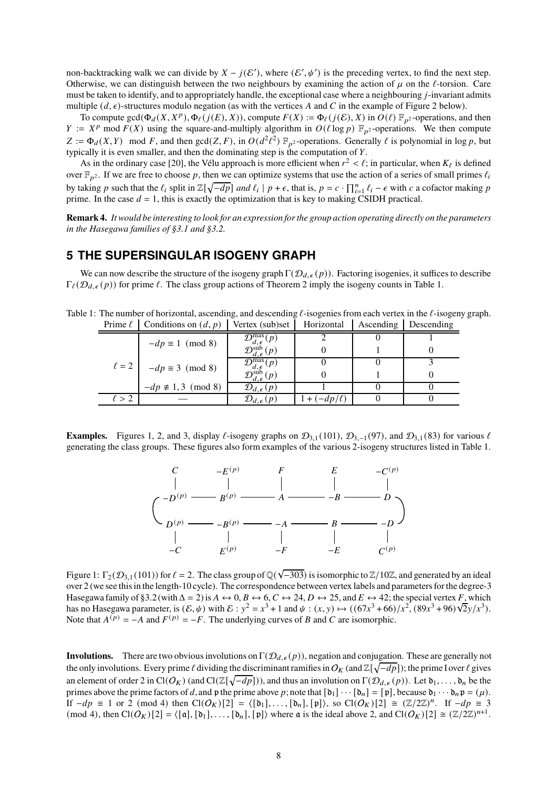non-backtracking walk we can divide by  $X - j(\mathcal{E}'),$  where  $(\mathcal{E}', \psi')$  is the preceding vertex, to find the next step. Otherwise, we can distinguish between the two neighbours by examining the action of  $\mu$  on the  $\ell$ -torsion. Care must be taken to identify, and to appropriately handle, the exceptional case where a neighbouring  $j$ -invariant admits multiple  $(d, \epsilon)$ -structures modulo negation (as with the vertices A and C in the example of Figure 2 below).

To compute  $gcd(\Phi_d(X, X^p), \Phi_\ell(j(E), X))$ , compute  $F(X) := \Phi_\ell(j(\mathcal{E}), X)$  in  $O(\ell) \mathbb{F}_{p^2}$ -operations, and then  $Y := X^p \mod F(X)$  using the square-and-multiply algorithm in  $O(\ell \log p) \mathbb{F}_{p^2}$ -operations. We then compute  $Z := \Phi_d(X, Y) \mod F$ , and then  $gcd(Z, F)$ , in  $O(d^2 \ell^2) \mathbb{F}_{p^2}$ -operations. Generally  $\ell$  is polynomial in log  $p$ , but typically it is even smaller, and then the dominating step is the computation of  $Y$ .

As in the ordinary case [20], the Vélu approach is more efficient when  $r^2 < \ell$ ; in particular, when  $K_{\ell}$  is defined over  $\mathbb{F}_{p^2}$ . If we are free to choose p, then we can optimize systems that use the action of a series of small primes  $\ell_i$ by taking p such that the  $\ell_i$  split in  $\mathbb{Z}[\sqrt{-dp}]$  and  $\ell_i \mid p + \epsilon$ , that is,  $p = c \cdot \prod_{i=1}^n \ell_i - \epsilon$  with c a cofactor making p prime. In the case  $d = 1$ , this is exactly the optimization that is key to making CSIDH practical.

**Remark 4.** *It would be interesting to look for an expression for the group action operating directly on the parameters in the Hasegawa families of §3.1 and §3.2.*

## **5 THE SUPERSINGULAR ISOGENY GRAPH**

We can now describe the structure of the isogeny graph  $\Gamma(\mathcal{D}_{d,\epsilon}(p))$ . Factoring isogenies, it suffices to describe  $\Gamma_{\ell}(\mathcal{D}_{d,\epsilon}(p))$  for prime  $\ell$ . The class group actions of Theorem 2 imply the isogeny counts in Table 1.

Table 1: The number of horizontal, ascending, and descending  $\ell$ -isogenies from each vertex in the  $\ell$ -isogeny graph. Prime  $\ell$  | Conditions on  $(d, p)$  | Vertex (sub)set | Horizontal | Ascending | Descending

| $\ell = 2$ | $-dp \equiv 1 \pmod{8}$       | $\mathcal{D}_1^{\max}$               |               |  |
|------------|-------------------------------|--------------------------------------|---------------|--|
|            |                               |                                      |               |  |
|            | $-dp \equiv 3 \pmod{8}$       | $\mathcal{D}_{d,\epsilon}^{\max}(p)$ |               |  |
|            |                               |                                      |               |  |
|            | $-dp \not\equiv 1,3 \pmod{8}$ | $\mathcal{D}_{d,\epsilon}(p)$        |               |  |
|            |                               |                                      | $+(-dp/\ell)$ |  |

**Examples.** Figures 1, 2, and 3, display  $\ell$ -isogeny graphs on  $\mathcal{D}_{3,1}(101)$ ,  $\mathcal{D}_{3,-1}(97)$ , and  $\mathcal{D}_{3,1}(83)$  for various  $\ell$ generating the class groups. These figures also form examples of the various 2-isogeny structures listed in Table 1.



Figure 1:  $\Gamma_2(\mathcal{D}_{3,1}(101))$  for  $\ell = 2$ . The class group of  $\mathbb{Q}(\sqrt{-303})$  is isomorphic to  $\mathbb{Z}/10\mathbb{Z}$ , and generated by an ideal over 2 (we see this in the length-10 cycle). The correspondence between vertex labels and parameters for the degree-3 Hasegawa family of §3.2 (with  $\Delta = 2$ ) is  $A \leftrightarrow 0$ ,  $B \leftrightarrow 6$ ,  $C \leftrightarrow 24$ ,  $D \leftrightarrow 25$ , and  $E \leftrightarrow 42$ ; the special vertex F, which has no Hasegawa parameter, is  $(E, \psi)$  with  $E : y^2 = x^3 + 1$  and  $\psi : (x, y) \mapsto ((67x^3 + 66)/x^2, (89x^3 + 96)\sqrt{2}y/x^3)$ . Note that  $A^{(p)} = -A$  and  $F^{(p)} = -F$ . The underlying curves of B and C are isomorphic.

**Involutions.** There are two obvious involutions on  $\Gamma(\mathcal{D}_{d,\epsilon}(p))$ , negation and conjugation. These are generally not the only involutions. Every prime  $\ell$  dividing the discriminant ramifies in  $O_K$  (and  $\mathbb{Z}[\sqrt{-dp}]$ ); the prime I over  $\ell$  gives an element of order 2 in Cl( $O_K$ ) (and Cl( $\mathbb{Z}[\sqrt{-dp}]$ )), and thus an involution on  $\Gamma(\mathcal{D}_{d,\epsilon}(p))$ . Let  $\mathfrak{d}_1,\ldots,\mathfrak{d}_n$  be the primes above the prime factors of d, and p the prime above p; note that  $[\mathfrak{d}_1] \cdots [\mathfrak{d}_n] = [\mathfrak{p}]$ , because  $\mathfrak{d}_1 \cdots \mathfrak{d}_n \mathfrak{p} = (\mu)$ . If  $-dp \equiv 1$  or 2 (mod 4) then  $Cl(O_K)[2] = \langle [\mathfrak{d}_1], \ldots, [\mathfrak{d}_n], [\mathfrak{p}] \rangle$ , so  $Cl(O_K)[2] \cong (\mathbb{Z}/2\mathbb{Z})^n$ . If  $-dp \equiv 3$  $(\text{mod } 4), \text{ then } \text{Cl}(O_K)[2] = \langle [a], [b_1], \ldots, [b_n], [p] \rangle$  where  $\mathfrak a$  is the ideal above 2, and  $\text{Cl}(O_K)[2] \cong (\mathbb Z/2\mathbb Z)^{n+1}$ .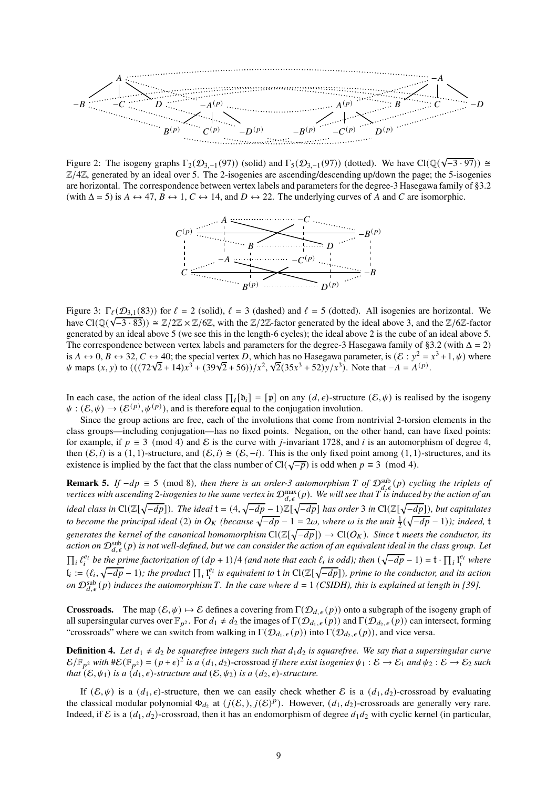

Figure 2: The isogeny graphs  $\Gamma_2(\mathcal{D}_{3,-1}(97))$  (solid) and  $\Gamma_5(\mathcal{D}_{3,-1}(97))$  (dotted). We have  $Cl(\mathbb{Q}(\sqrt{-3.97})) \cong$  $\mathbb{Z}/4\mathbb{Z}$ , generated by an ideal over 5. The 2-isogenies are ascending/descending up/down the page; the 5-isogenies are horizontal. The correspondence between vertex labels and parameters for the degree-3 Hasegawa family of §3.2 (with  $\Delta = 5$ ) is  $A \leftrightarrow 47$ ,  $B \leftrightarrow 1$ ,  $C \leftrightarrow 14$ , and  $D \leftrightarrow 22$ . The underlying curves of A and C are isomorphic.



Figure 3:  $\Gamma_{\ell}(\mathcal{D}_{3,1}(83))$  for  $\ell = 2$  (solid),  $\ell = 3$  (dashed) and  $\ell = 5$  (dotted). All isogenies are horizontal. We have  $Cl(\mathbb{Q}(\sqrt{-3 \cdot 83})) \cong \mathbb{Z}/2\mathbb{Z} \times \mathbb{Z}/6\mathbb{Z}$ , with the  $\mathbb{Z}/2\mathbb{Z}$ -factor generated by the ideal above 3, and the  $\mathbb{Z}/6\mathbb{Z}$ -factor generated by an ideal above 5 (we see this in the length-6 cycles); the ideal above 2 is the cube of an ideal above 5. The correspondence between vertex labels and parameters for the degree-3 Hasegawa family of §3.2 (with  $\Delta = 2$ ) is  $A \leftrightarrow 0$ ,  $B \leftrightarrow 32$ ,  $C \leftrightarrow 40$ ; the special vertex D, which has no Hasegawa parameter, is  $(\mathcal{E} : y^2 = x^3 + 1, \psi)$  where  $\psi$  maps (x, y) to (  $((72\sqrt{2} + 14)x^3 + (39\sqrt{2} + 56))/x^2$ ,  $\sqrt{2}(35x^3 + 52)y/x^3$ ). Note that  $-A = A^{(p)}$ .

In each case, the action of the ideal class  $\prod_i [\mathfrak{d}_i] = [\mathfrak{p}]$  on any  $(d, \epsilon)$ -structure  $(\mathcal{E}, \psi)$  is realised by the isogeny  $\psi : (\mathcal{E}, \psi) \to (\mathcal{E}^{(p)}, \psi^{(p)})$ , and is therefore equal to the conjugation involution.

Since the group actions are free, each of the involutions that come from nontrivial 2-torsion elements in the class groups—including conjugation—has no fixed points. Negation, on the other hand, can have fixed points: for example, if  $p \equiv 3 \pmod{4}$  and E is the curve with *j*-invariant 1728, and *i* is an automorphism of degree 4, then  $(\mathcal{E}, i)$  is a  $(1, 1)$ -structure, and  $(\mathcal{E}, i) \cong (\mathcal{E}, -i)$ . This is the only fixed point among  $(1, 1)$ -structures, and its existence is implied by the fact that the class number of Cl( $\sqrt{-p}$ ) is odd when  $p \equiv 3 \pmod{4}$ .

**Remark 5.** *If*  $-dp \equiv 5 \pmod{8}$ , then there is an order-3 automorphism *T* of  $\mathcal{D}_{d,\epsilon}^{sub}(p)$  *cycling the triplets of* vertices with ascending 2-isogenies to the same vertex in  $\mathcal{D}_{d,\epsilon}^{\max}(p)$ . We will see that T is induced by the action of an ideal class in  $Cl(\Z[\sqrt{-dp}])$ . The ideal  $t = (4, \sqrt{-dp} - 1)\Z[\sqrt{-dp}]$  has order 3 in  $Cl(\Z[\sqrt{-dp}])$ , but capitulates to become the principal ideal (2) in  $O_K$  (because  $\sqrt{-dp} - 1 = 2\omega$ , where  $\omega$  is the unit  $\frac{1}{2}(\sqrt{-dp} - 1)$ ); indeed, t  $generates$  the kernel of the canonical homomorphism  $Cl(\mathbb{Z}[\sqrt{-dp}]) \to Cl(O_K)$ . Since **t** meets the conductor, its action on  ${\cal D}_{d,\epsilon}^{\rm sub}(p)$  is not well-defined, but we can consider the action of an equivalent ideal in the class group. Let  $\prod_i \ell_i^{e_i}$  be the prime factorization of  $(dp + 1)/4$  *(and note that each*  $\ell_i$  is odd); then  $(\sqrt{-dp} - 1) = t \cdot \prod_i l_i^{e_i}$  where  $I_i := (\ell_i, \sqrt{-dp} - 1)$ ; the product  $\prod_i I_i^{e_i}$  is equivalent to **t** in  $Cl(\mathbb{Z}[\sqrt{-dp}])$ , prime to the conductor, and its action *on*  $\mathcal{D}_{d,\epsilon}^{sub}(p)$  induces the automorphism T. In the case where  $d = 1$  (CSIDH), this is explained at length in [39].

**Crossroads.** The map  $(\mathcal{E}, \psi) \mapsto \mathcal{E}$  defines a covering from  $\Gamma(\mathcal{D}_{d, \epsilon}(p))$  onto a subgraph of the isogeny graph of all supersingular curves over  $\mathbb{F}_{p^2}$ . For  $d_1 \neq d_2$  the images of  $\Gamma(\mathcal{D}_{d_1,\epsilon}(p))$  and  $\Gamma(\mathcal{D}_{d_2,\epsilon}(p))$  can intersect, forming "crossroads" where we can switch from walking in  $\Gamma(\mathcal{D}_{d_1,\epsilon}(p))$  into  $\Gamma(\mathcal{D}_{d_2,\epsilon}(p))$ , and vice versa.

**Definition 4.** Let  $d_1 \neq d_2$  be squarefree integers such that  $d_1d_2$  is squarefree. We say that a supersingular curve  $\mathcal{E}/\mathbb{F}_{p^2}$  with  $\#\mathcal{E}(\mathbb{F}_{p^2}) = (p+\epsilon)^2$  is a  $(d_1, d_2)$ -crossroad if there exist isogenies  $\psi_1 : \mathcal{E} \to \mathcal{E}_1$  and  $\psi_2 : \mathcal{E} \to \mathcal{E}_2$  such *that*  $(E, \psi_1)$  *is a*  $(d_1, \epsilon)$ *-structure and*  $(E, \psi_2)$  *is a*  $(d_2, \epsilon)$ *-structure.* 

If  $(\mathcal{E}, \psi)$  is a  $(d_1, \epsilon)$ -structure, then we can easily check whether  $\mathcal{E}$  is a  $(d_1, d_2)$ -crossroad by evaluating the classical modular polynomial  $\Phi_{d_2}$  at  $(j(\mathcal{E},), j(\mathcal{E})^p)$ . However,  $(d_1, d_2)$ -crossroads are generally very rare. Indeed, if E is a  $(d_1, d_2)$ -crossroad, then it has an endomorphism of degree  $d_1d_2$  with cyclic kernel (in particular,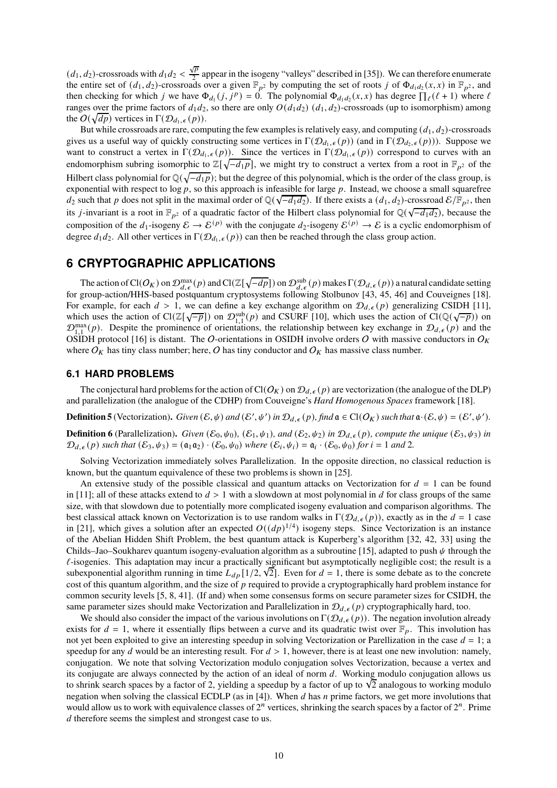$(d_1, d_2)$ -crossroads with  $d_1 d_2 < \frac{\sqrt{p}}{2}$  $\frac{2P}{2}$  appear in the isogeny "valleys" described in [35]). We can therefore enumerate the entire set of  $(d_1, d_2)$ -crossroads over a given  $\mathbb{F}_{p^2}$  by computing the set of roots j of  $\Phi_{d_1d_2}(x, x)$  in  $\mathbb{F}_{p^2}$ , and then checking for which j we have  $\Phi_{d_1}(j, j^p) = 0$ . The polynomial  $\Phi_{d_1d_2}(x, x)$  has degree  $\prod_{\ell}(\ell+1)$  where  $\ell$ ranges over the prime factors of  $d_1d_2$ , so there are only  $O(d_1d_2)$  ( $d_1, d_2$ )-crossroads (up to isomorphism) among the  $O(\sqrt{dp})$  vertices in  $\Gamma(\mathcal{D}_{d_1,\epsilon}(p)).$ 

But while crossroads are rare, computing the few examples is relatively easy, and computing  $(d_1, d_2)$ -crossroads gives us a useful way of quickly constructing some vertices in  $\Gamma(\mathcal{D}_{d_1,\epsilon}(p))$  (and in  $\Gamma(\mathcal{D}_{d_2,\epsilon}(p))$ ). Suppose we want to construct a vertex in  $\Gamma(\mathcal{D}_{d_1,\epsilon}(p))$ . Since the vertices in  $\Gamma(\mathcal{D}_{d_1,\epsilon}(p))$  correspond to curves with an endomorphism subring isomorphic to  $\mathbb{Z}[\sqrt{-d_1p}]$ , we might try to construct a vertex from a root in  $\mathbb{F}_{p^2}$  of the Hilbert class polynomial for  $\mathbb{Q}(\sqrt{-d_1p})$ ; but the degree of this polynomial, which is the order of the class group, is exponential with respect to  $\log p$ , so this approach is infeasible for large  $p$ . Instead, we choose a small squarefree  $d_2$  such that p does not split in the maximal order of Q( $\sqrt{-d_1 d_2}$ ). If there exists a  $(d_1, d_2)$ -crossroad  $\mathcal{E}/\mathbb{F}_{p^2}$ , then its *j*-invariant is a root in  $\mathbb{F}_{p^2}$  of a quadratic factor of the Hilbert class polynomial for  $\mathbb{Q}(\sqrt{-d_1d_2})$ , because the composition of the  $d_1$ -isogeny  $\mathcal{E} \to \mathcal{E}^{(p)}$  with the conjugate  $d_2$ -isogeny  $\mathcal{E}^{(p)} \to \mathcal{E}$  is a cyclic endomorphism of degree  $d_1 d_2$ . All other vertices in  $\Gamma(\mathcal{D}_{d_1,\epsilon}(p))$  can then be reached through the class group action.

# **6 CRYPTOGRAPHIC APPLICATIONS**

The action of Cl( $O_K$ ) on  $\mathcal{D}_{d,\epsilon}^{\max}(p)$  and Cl( $\mathbb{Z}[\sqrt{-dp}]$ ) on  $\mathcal{D}_{d,\epsilon}^{\sup}(p)$  makes  $\Gamma(\mathcal{D}_{d,\epsilon}(p))$  a natural candidate setting for group-action/HHS-based postquantum cryptosystems following Stolbunov [43, 45, 46] and Couveignes [18]. For example, for each  $d > 1$ , we can define a key exchange algorithm on  $\mathcal{D}_{d,\epsilon}(p)$  generalizing CSIDH [11], which uses the action of  $Cl(\mathbb{Z}[\sqrt{-p}])$  on  $\mathcal{D}_{1,1}^{\text{sub}}(p)$  and CSURF [10], which uses the action of  $Cl(\mathbb{Q}(\sqrt{-p}))$  on  $\mathcal{D}_{1,1}^{\max}(p)$ . Despite the prominence of orientations, the relationship between key exchange in  $\mathcal{D}_{d,\epsilon}(p)$  and the OSIDH protocol [16] is distant. The O-orientations in OSIDH involve orders O with massive conductors in  $O_K$ where  $O_K$  has tiny class number; here, O has tiny conductor and  $O_K$  has massive class number.

#### **6.1 HARD PROBLEMS**

The conjectural hard problems for the action of Cl( $O_K$ ) on  $\mathcal{D}_{d,\epsilon}(p)$  are vectorization (the analogue of the DLP) and parallelization (the analogue of the CDHP) from Couveigne's *Hard Homogenous Spaces* framework [18].

**Definition 5** (Vectorization). *Given*  $(\mathcal{E}, \psi)$  *and*  $(\mathcal{E}', \psi')$  *in*  $\mathcal{D}_{d,\epsilon}(p)$ *, find*  $\mathfrak{a} \in \mathrm{Cl}(O_K)$  *such that*  $\mathfrak{a} \cdot (\mathcal{E}, \psi) = (\mathcal{E}', \psi')$ *.* 

**Definition 6** (Parallelization). *Given*  $(\mathcal{E}_0, \psi_0)$ ,  $(\mathcal{E}_1, \psi_1)$ *, and*  $(\mathcal{E}_2, \psi_2)$  *in*  $\mathcal{D}_{d,\epsilon}(p)$ *, compute the unique*  $(\mathcal{E}_3, \psi_3)$  *in*  $\mathcal{D}_{d,\epsilon}(p)$  such that  $(\mathcal{E}_3, \psi_3) = (\mathfrak{a}_1 \mathfrak{a}_2) \cdot (\mathcal{E}_0, \psi_0)$  where  $(\mathcal{E}_i, \psi_i) = \mathfrak{a}_i \cdot (\mathcal{E}_0, \psi_0)$  for  $i = 1$  and 2.

Solving Vectorization immediately solves Parallelization. In the opposite direction, no classical reduction is known, but the quantum equivalence of these two problems is shown in [25].

An extensive study of the possible classical and quantum attacks on Vectorization for  $d = 1$  can be found in [11]; all of these attacks extend to  $d > 1$  with a slowdown at most polynomial in d for class groups of the same size, with that slowdown due to potentially more complicated isogeny evaluation and comparison algorithms. The best classical attack known on Vectorization is to use random walks in  $\Gamma(\mathcal{D}_{d,\epsilon}(p))$ , exactly as in the  $d=1$  case in [21], which gives a solution after an expected  $O((dp)^{1/4})$  isogeny steps. Since Vectorization is an instance of the Abelian Hidden Shift Problem, the best quantum attack is Kuperberg's algorithm [32, 42, 33] using the Childs–Jao–Soukharev quantum isogeny-evaluation algorithm as a subroutine [15], adapted to push  $\psi$  through the  $\ell$ -isogenies. This adaptation may incur a practically significant but asymptotically negligible cost; the result is a subexponential algorithm running in time  $L_{dp}[1/2, \sqrt{2}]$ . Even for  $d = 1$ , there is some debate as to the concrete cost of this quantum algorithm, and the size of  $p$  required to provide a cryptographically hard problem instance for common security levels [5, 8, 41]. (If and) when some consensus forms on secure parameter sizes for CSIDH, the same parameter sizes should make Vectorization and Parallelization in  $\mathcal{D}_{d,\epsilon}(p)$  cryptographically hard, too.

We should also consider the impact of the various involutions on  $\Gamma(\mathcal{D}_{d,\epsilon}(p))$ . The negation involution already exists for  $d = 1$ , where it essentially flips between a curve and its quadratic twist over  $\mathbb{F}_p$ . This involution has not yet been exploited to give an interesting speedup in solving Vectorization or Parellization in the case  $d = 1$ ; a speedup for any  $d$  would be an interesting result. For  $d > 1$ , however, there is at least one new involution: namely, conjugation. We note that solving Vectorization modulo conjugation solves Vectorization, because a vertex and its conjugate are always connected by the action of an ideal of norm  $d$ . Working modulo conjugation allows us to shrink search spaces by a factor of 2, yielding a speedup by a factor of up to  $\sqrt{2}$  analogous to working modulo negation when solving the classical ECDLP (as in [4]). When  $d$  has  $n$  prime factors, we get more involutions that would allow us to work with equivalence classes of  $2^n$  vertices, shrinking the search spaces by a factor of  $2^n$ . Prime d therefore seems the simplest and strongest case to us.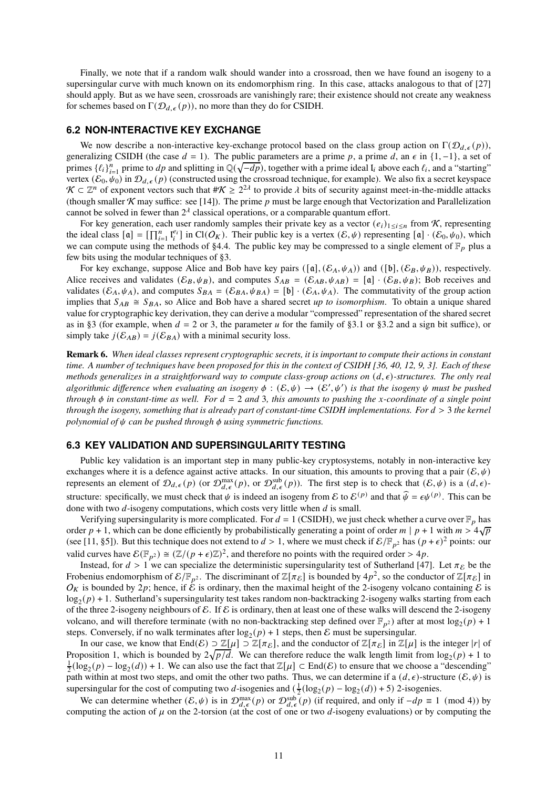Finally, we note that if a random walk should wander into a crossroad, then we have found an isogeny to a supersingular curve with much known on its endomorphism ring. In this case, attacks analogous to that of [27] should apply. But as we have seen, crossroads are vanishingly rare; their existence should not create any weakness for schemes based on  $\Gamma(\mathcal{D}_{d,\epsilon}(p))$ , no more than they do for CSIDH.

#### **6.2 NON-INTERACTIVE KEY EXCHANGE**

We now describe a non-interactive key-exchange protocol based on the class group action on  $\Gamma(\mathcal{D}_{d,\epsilon}(p))$ , generalizing CSIDH (the case  $d = 1$ ). The public parameters are a prime p, a prime d, an  $\epsilon$  in {1, -1}, a set of primes  $\{\ell_i\}_{i=1}^n$  prime to  $dp$  and splitting in  $\mathbb{Q}(\sqrt{-dp})$ , together with a prime ideal  $I_i$  above each  $\ell_i$ , and a "starting" vertex  $(\mathcal{E}_0, \psi_0)$  in  $\mathcal{D}_{d,\epsilon}(p)$  (constructed using the crossroad technique, for example). We also fix a secret keyspace  $\mathcal{K} \subset \mathbb{Z}^n$  of exponent vectors such that  $\#\mathcal{K} \geq 2^{2\lambda}$  to provide  $\lambda$  bits of security against meet-in-the-middle attacks (though smaller  $\mathcal K$  may suffice: see [14]). The prime p must be large enough that Vectorization and Parallelization cannot be solved in fewer than  $2^{\lambda}$  classical operations, or a comparable quantum effort.

For key generation, each user randomly samples their private key as a vector  $(e_i)_{1\leq i\leq n}$  from K, representing the ideal class  $[\mathfrak{a}] = [\prod_{i=1}^n I_i^{e_i}]$  in  $\text{Cl}(O_K)$ . Their public key is a vertex  $(\mathcal{E}, \psi)$  representing  $[\mathfrak{a}] \cdot (\mathcal{E}_0, \psi_0)$ , which we can compute using the methods of §4.4. The public key may be compressed to a single element of  $\mathbb{F}_p$  plus a few bits using the modular techniques of §3.

For key exchange, suppose Alice and Bob have key pairs  $([\mathfrak{a}], (\mathcal{E}_A, \psi_A))$  and  $([\mathfrak{b}], (\mathcal{E}_B, \psi_B))$ , respectively. Alice receives and validates  $(\mathcal{E}_B, \psi_B)$ , and computes  $S_{AB} = (\mathcal{E}_{AB}, \psi_{AB}) = [\mathfrak{a}] \cdot (\mathcal{E}_B, \psi_B)$ ; Bob receives and validates  $(\mathcal{E}_A, \psi_A)$ , and computes  $S_{BA} = (\mathcal{E}_{BA}, \psi_{BA}) = [b] \cdot (\mathcal{E}_A, \psi_A)$ . The commutativity of the group action implies that  $S_{AB} \cong S_{BA}$ , so Alice and Bob have a shared secret *up to isomorphism*. To obtain a unique shared value for cryptographic key derivation, they can derive a modular "compressed" representation of the shared secret as in §3 (for example, when  $d = 2$  or 3, the parameter u for the family of §3.1 or §3.2 and a sign bit suffice), or simply take  $j(\mathcal{E}_{AB}) = j(\mathcal{E}_{BA})$  with a minimal security loss.

**Remark 6.** *When ideal classes represent cryptographic secrets, it is important to compute their actions in constant time. A number of techniques have been proposed for this in the context of CSIDH [36, 40, 12, 9, 3]. Each of these methods generalizes in a straightforward way to compute class-group actions on*  $(d, \epsilon)$ *-structures. The only real*  $algorithms$  *difference when evaluating an isogeny*  $\phi$  :  $(\mathcal{E}, \psi) \to (\mathcal{E}', \psi')$  *is that the isogeny*  $\psi$  *must be pushed through*  $\phi$  *in constant-time as well. For*  $d = 2$  *and* 3*, this amounts to pushing the x-coordinate of a single point through the isogeny, something that is already part of constant-time CSIDH implementations. For*  $d > 3$  *the kernel polynomial of*  $\psi$  *can be pushed through*  $\phi$  *using symmetric functions.* 

#### **6.3 KEY VALIDATION AND SUPERSINGULARITY TESTING**

Public key validation is an important step in many public-key cryptosystems, notably in non-interactive key exchanges where it is a defence against active attacks. In our situation, this amounts to proving that a pair  $(\mathcal{E}, \psi)$ represents an element of  $\mathcal{D}_{d,\epsilon}(p)$  (or  $\mathcal{D}_{d,\epsilon}^{\max}(p)$ , or  $\mathcal{D}_{d,\epsilon}^{\text{sub}}(p)$ ). The first step is to check that  $(\mathcal{E},\psi)$  is a  $(d,\epsilon)$ structure: specifically, we must check that  $\psi$  is indeed an isogeny from E to  $\mathcal{E}^{(p)}$  and that  $\widehat{\psi} = \epsilon \psi^{(p)}$ . This can be done with two  $d$ -isogeny computations, which costs very little when  $d$  is small.

Verifying supersingularity is more complicated. For  $d = 1$  (CSIDH), we just check whether a curve over  $\mathbb{F}_p$  has order  $p + 1$ , which can be done efficiently by probabilistically generating a point of order  $m | p + 1$  with  $m > 4\sqrt{p}$ (see [11, §5]). But this technique does not extend to  $d > 1$ , where we must check if  $\mathcal{E}/\mathbb{F}_{p^2}$  has  $(p+\epsilon)^2$  points: our valid curves have  $\mathcal{E}(\mathbb{F}_{p^2}) \cong (\mathbb{Z}/(p+\epsilon)\mathbb{Z})^2$ , and therefore no points with the required order > 4p.

Instead, for  $d > 1$  we can specialize the deterministic supersingularity test of Sutherland [47]. Let  $\pi_{\mathcal{E}}$  be the Frobenius endomorphism of  $\mathcal{E}/\mathbb{F}_{p^2}$ . The discriminant of  $\mathbb{Z}[\pi_{\mathcal{E}}]$  is bounded by  $4p^2$ , so the conductor of  $\mathbb{Z}[\pi_{\mathcal{E}}]$  in  $O_K$  is bounded by 2p; hence, if  $\hat{\mathcal{E}}$  is ordinary, then the maximal height of the 2-isogeny volcano containing  $\mathcal E$  is  $\log_2(p) + 1$ . Sutherland's supersingularity test takes random non-backtracking 2-isogeny walks starting from each of the three 2-isogeny neighbours of E. If E is ordinary, then at least one of these walks will descend the 2-isogeny volcano, and will therefore terminate (with no non-backtracking step defined over  $\mathbb{F}_{p^2}$ ) after at most  $\log_2(p) + 1$ steps. Conversely, if no walk terminates after  $\log_2(p) + 1$  steps, then E must be supersingular.

In our case, we know that End $(\mathcal{E}) \supset \mathbb{Z}[\mu] \supset \mathbb{Z}[\pi_{\mathcal{E}}]$ , and the conductor of  $\mathbb{Z}[\pi_{\mathcal{E}}]$  in  $\mathbb{Z}[\mu]$  is the integer  $|r|$  of Proposition 1, which is bounded by  $2\sqrt{p/d}$ . We can therefore reduce the walk length limit from  $\log_2(p) + 1$  to  $\frac{1}{2}(\log_2(p) - \log_2(d)) + 1$ . We can also use the fact that  $\mathbb{Z}[\mu] \subset \text{End}(\mathcal{E})$  to ensure that we choose a "descending" path within at most two steps, and omit the other two paths. Thus, we can determine if a  $(d, \epsilon)$ -structure  $(\mathcal{E}, \psi)$  is supersingular for the cost of computing two d-isogenies and  $(\frac{1}{2}(\log_2(p) - \log_2(d)) + 5)$  2-isogenies.

We can determine whether  $(\mathcal{E}, \psi)$  is in  $\mathcal{D}_{d,\epsilon}^{\max}(p)$  or  $\mathcal{D}_{d,\epsilon}^{\text{sub}}(p)$  (if required, and only if  $-dp \equiv 1 \pmod{4}$ ) by computing the action of  $\mu$  on the 2-torsion (at the cost of one or two d-isogeny evaluations) or by computing the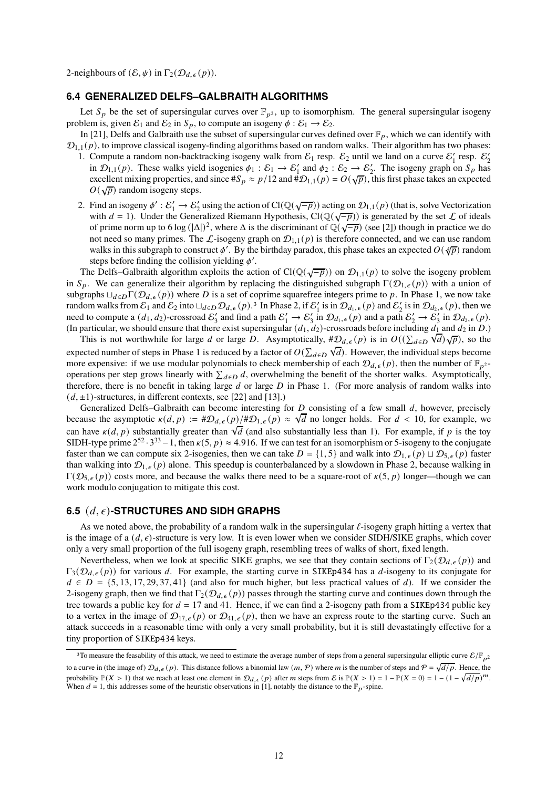2-neighbours of  $(\mathcal{E}, \psi)$  in  $\Gamma_2(\mathcal{D}_{d,\epsilon}(p)).$ 

#### **6.4 GENERALIZED DELFS–GALBRAITH ALGORITHMS**

Let  $S_p$  be the set of supersingular curves over  $\mathbb{F}_{p^2}$ , up to isomorphism. The general supersingular isogeny problem is, given  $\mathcal{E}_1$  and  $\mathcal{E}_2$  in  $\mathcal{S}_p$ , to compute an isogeny  $\phi : \mathcal{E}_1 \to \mathcal{E}_2$ .

In [21], Delfs and Galbraith use the subset of supersingular curves defined over  $\mathbb{F}_p$ , which we can identify with  $\mathcal{D}_{1,1}(p)$ , to improve classical isogeny-finding algorithms based on random walks. Their algorithm has two phases:

- 1. Compute a random non-backtracking isogeny walk from  $\mathcal{E}_1$  resp.  $\mathcal{E}_2$  until we land on a curve  $\mathcal{E}'_1$  resp.  $\mathcal{E}'_2$ in  $\mathcal{D}_{1,1}(p)$ . These walks yield isogenies  $\phi_1 : \mathcal{E}_1 \to \mathcal{E}_1'$  and  $\phi_2 : \mathcal{E}_2 \to \mathcal{E}_2'$ . The isogeny graph on  $S_p$  has excellent mixing properties, and since # $S_p \approx p/12$  and # $\mathcal{D}_{1,1}(p) = O(\sqrt{p})$ , this first phase takes an expected  $O(\sqrt{p})$  random isogeny steps.
- 2. Find an isogeny  $\phi': \mathcal{E}'_1 \to \mathcal{E}'_2$  using the action of Cl( $\mathbb{Q}(\sqrt{-p})$ ) acting on  $\mathcal{D}_{1,1}(p)$  (that is, solve Vectorization with  $d = 1$ ). Under the Generalized Riemann Hypothesis, Cl(Q( $\sqrt{-p}$ )) is generated by the set  $\mathcal L$  of ideals of prime norm up to 6 log  $(|\Delta|)^2$ , where  $\Delta$  is the discriminant of  $\mathbb{Q}(\sqrt{-p})$  (see [2]) though in practice we do not need so many primes. The  $\mathcal{L}$ -isogeny graph on  $\mathcal{D}_{1,1}(p)$  is therefore connected, and we can use random walks in this subgraph to construct  $\phi'$ . By the birthday paradox, this phase takes an expected  $O(\sqrt[4]{p})$  random steps before finding the collision yielding  $\phi'$ .

The Delfs–Galbraith algorithm exploits the action of Cl( $\mathbb{Q}(\sqrt{-p})$ ) on  $\mathcal{D}_{1,1}(p)$  to solve the isogeny problem in  $S_p$ . We can generalize their algorithm by replacing the distinguished subgraph  $\Gamma(\mathcal{D}_{1,\epsilon}(p))$  with a union of subgraphs  $\Box_{d\in D} \Gamma(\mathcal{D}_{d,\epsilon}(p))$  where D is a set of coprime squarefree integers prime to p. In Phase 1, we now take random walks from  $\mathcal{E}_1$  and  $\mathcal{E}_2$  into  $\Box_{d\in D}\mathcal{D}_{d,\epsilon}(p)$ .<sup>3</sup> In Phase 2, if  $\mathcal{E}'_1$  is in  $\mathcal{D}_{d_1,\epsilon}(p)$  and  $\mathcal{E}'_2$  is in  $\mathcal{D}_{d_2,\epsilon}(p)$ , then we need to compute a  $(d_1, d_2)$ -crossroad  $\mathcal{E}'_3$  and find a path  $\mathcal{E}'_1 \to \mathcal{E}'_3$  in  $\mathcal{D}_{d_1,\epsilon}(p)$  and a path  $\mathcal{E}'_2 \to \mathcal{E}'_3$  in  $\mathcal{D}_{d_2,\epsilon}(p)$ . (In particular, we should ensure that there exist supersingular  $(d_1, d_2)$ -crossroads before including  $d_1$  and  $d_2$  in  $D$ .)

This is not worthwhile for large d or large D. Asymptotically,  $\sharp \mathcal{D}_{d,\epsilon}(p)$  is in  $O((\sum_{d \in D}$  $\sqrt{d}$ ) $\sqrt{p}$ ), so the expected number of steps in Phase 1 is reduced by a factor of  $O(\sum_{d \in D}$  $\sqrt{d}$ ). However, the individual steps become more expensive: if we use modular polynomials to check membership of each  $\mathcal{D}_{d,\epsilon}(p)$ , then the number of  $\mathbb{F}_{p^2}$ . operations per step grows linearly with  $\sum_{d \in D} d$ , overwhelming the benefit of the shorter walks. Asymptotically, therefore, there is no benefit in taking large  $d$  or large  $D$  in Phase 1. (For more analysis of random walks into  $(d, \pm 1)$ -structures, in different contexts, see [22] and [13].)

Generalized Delfs–Galbraith can become interesting for  $D$  consisting of a few small  $d$ , however, precisely because the asymptotic  $\kappa(d, p) := \#\mathcal{D}_{d, \epsilon}(p) / \#\mathcal{D}_{1, \epsilon}(p) \approx \sqrt{d}$  no longer holds. For  $d < 10$ , for example, we can have  $\kappa(d, p)$  substantially greater than  $\sqrt{d}$  (and also substantially less than 1). For example, if p is the toy SIDH-type prime  $2^{52} \cdot 3^{33} - 1$ , then  $\kappa(5, p) \approx 4.916$ . If we can test for an isomorphism or 5-isogeny to the conjugate faster than we can compute six 2-isogenies, then we can take  $D = \{1, 5\}$  and walk into  $\mathcal{D}_{1,\epsilon}(p) \sqcup \mathcal{D}_{5,\epsilon}(p)$  faster than walking into  $\mathcal{D}_{1,\epsilon}(p)$  alone. This speedup is counterbalanced by a slowdown in Phase 2, because walking in  $\Gamma(\mathcal{D}_{5,\epsilon}(p))$  costs more, and because the walks there need to be a square-root of  $\kappa(5, p)$  longer—though we can work modulo conjugation to mitigate this cost.

#### **6.5** (𝑑, 𝜖)**-STRUCTURES AND SIDH GRAPHS**

As we noted above, the probability of a random walk in the supersingular  $\ell$ -isogeny graph hitting a vertex that is the image of a  $(d, \epsilon)$ -structure is very low. It is even lower when we consider SIDH/SIKE graphs, which cover only a very small proportion of the full isogeny graph, resembling trees of walks of short, fixed length.

Nevertheless, when we look at specific SIKE graphs, we see that they contain sections of  $\Gamma_2(\mathcal{D}_{d,\epsilon}(p))$  and  $\Gamma_3(\mathcal{D}_{d,\epsilon}(p))$  for various d. For example, the starting curve in SIKEp434 has a d-isogeny to its conjugate for  $d \in D = \{5, 13, 17, 29, 37, 41\}$  (and also for much higher, but less practical values of d). If we consider the 2-isogeny graph, then we find that  $\Gamma_2(\mathcal{D}_{d,\epsilon}(p))$  passes through the starting curve and continues down through the tree towards a public key for  $d = 17$  and 41. Hence, if we can find a 2-isogeny path from a SIKEp434 public key to a vertex in the image of  $\mathcal{D}_{17,\epsilon}(p)$  or  $\mathcal{D}_{41,\epsilon}(p)$ , then we have an express route to the starting curve. Such an attack succeeds in a reasonable time with only a very small probability, but it is still devastatingly effective for a tiny proportion of SIKEp434 keys.

<sup>&</sup>lt;sup>3</sup>To measure the feasability of this attack, we need to estimate the average number of steps from a general supersingular elliptic curve  $\mathcal{E}/\mathbb{F}_{p^2}$ to a curve in (the image of)  $\mathcal{D}_{d,\epsilon}(p)$ . This distance follows a binomial law  $(m, \mathcal{P})$  where m is the number of steps and  $\mathcal{P} = \sqrt{d/p}$ . Hence, the probability  $\mathbb{P}(X > 1)$  that we reach at least one element in  $\mathcal{D}_{d,\epsilon}(p)$  after *m* steps from E is  $\mathbb{P}(X > 1) = 1 - \mathbb{P}(X = 0) = 1 - (1 - \sqrt{d/p})^m$ . When  $d = 1$ , this addresses some of the heuristic observations in [1], notably the distance to the  $\mathbb{F}_p$ -spine.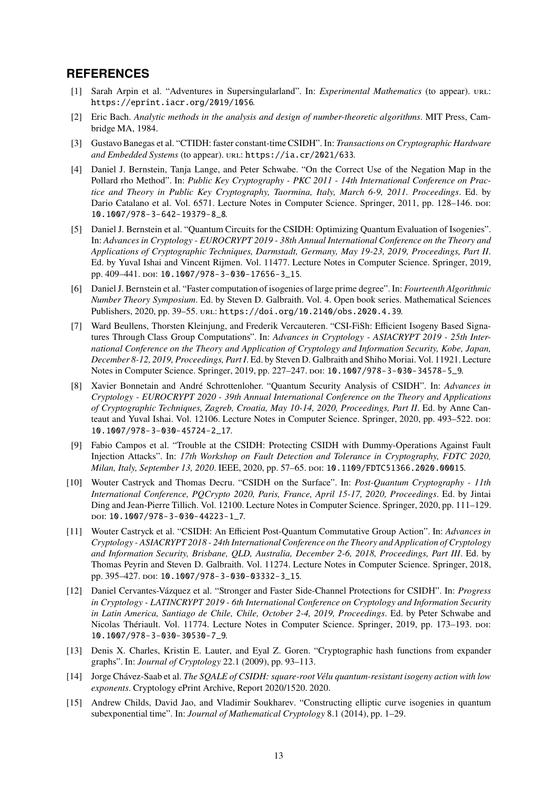# **REFERENCES**

- [1] Sarah Arpin et al. "Adventures in Supersingularland". In: *Experimental Mathematics* (to appear). url: <https://eprint.iacr.org/2019/1056>.
- [2] Eric Bach. *Analytic methods in the analysis and design of number-theoretic algorithms*. MIT Press, Cambridge MA, 1984.
- [3] Gustavo Banegas et al. "CTIDH: faster constant-time CSIDH". In: *Transactions on Cryptographic Hardware* and Embedded Systems (to appear). URL: <https://ia.cr/2021/633>.
- [4] Daniel J. Bernstein, Tanja Lange, and Peter Schwabe. "On the Correct Use of the Negation Map in the Pollard rho Method". In: *Public Key Cryptography - PKC 2011 - 14th International Conference on Practice and Theory in Public Key Cryptography, Taormina, Italy, March 6-9, 2011. Proceedings*. Ed. by Dario Catalano et al. Vol. 6571. Lecture Notes in Computer Science. Springer, 2011, pp. 128-146. poi: [10.1007/978-3-642-19379-8\\_8](https://doi.org/10.1007/978-3-642-19379-8_8).
- [5] Daniel J. Bernstein et al. "Quantum Circuits for the CSIDH: Optimizing Quantum Evaluation of Isogenies". In: *Advances in Cryptology - EUROCRYPT 2019 - 38th Annual International Conference on the Theory and Applications of Cryptographic Techniques, Darmstadt, Germany, May 19-23, 2019, Proceedings, Part II*. Ed. by Yuval Ishai and Vincent Rijmen. Vol. 11477. Lecture Notes in Computer Science. Springer, 2019, pp. 409-441. poi: [10.1007/978-3-030-17656-3\\_15](https://doi.org/10.1007/978-3-030-17656-3_15).
- [6] Daniel J. Bernstein et al. "Faster computation of isogenies of large prime degree". In: *Fourteenth Algorithmic Number Theory Symposium*. Ed. by Steven D. Galbraith. Vol. 4. Open book series. Mathematical Sciences Publishers, 2020, pp. 39-55. url: <https://doi.org/10.2140/obs.2020.4.39>.
- [7] Ward Beullens, Thorsten Kleinjung, and Frederik Vercauteren. "CSI-FiSh: Efficient Isogeny Based Signatures Through Class Group Computations". In: *Advances in Cryptology - ASIACRYPT 2019 - 25th International Conference on the Theory and Application of Cryptology and Information Security, Kobe, Japan, December 8-12, 2019, Proceedings, Part I*. Ed. by Steven D. Galbraith and Shiho Moriai. Vol. 11921. Lecture Notes in Computer Science. Springer, 2019, pp. 227–247. doi: [10.1007/978-3-030-34578-5\\_9](https://doi.org/10.1007/978-3-030-34578-5_9).
- [8] Xavier Bonnetain and André Schrottenloher. "Quantum Security Analysis of CSIDH". In: *Advances in Cryptology - EUROCRYPT 2020 - 39th Annual International Conference on the Theory and Applications of Cryptographic Techniques, Zagreb, Croatia, May 10-14, 2020, Proceedings, Part II*. Ed. by Anne Canteaut and Yuval Ishai. Vol. 12106. Lecture Notes in Computer Science. Springer, 2020, pp. 493–522. poi: [10.1007/978-3-030-45724-2\\_17](https://doi.org/10.1007/978-3-030-45724-2_17).
- [9] Fabio Campos et al. "Trouble at the CSIDH: Protecting CSIDH with Dummy-Operations Against Fault Injection Attacks". In: *17th Workshop on Fault Detection and Tolerance in Cryptography, FDTC 2020, Milan, Italy, September 13, 2020*. IEEE, 2020, pp. 57–65. doi: [10.1109/FDTC51366.2020.00015](https://doi.org/10.1109/FDTC51366.2020.00015).
- [10] Wouter Castryck and Thomas Decru. "CSIDH on the Surface". In: *Post-Quantum Cryptography 11th International Conference, PQCrypto 2020, Paris, France, April 15-17, 2020, Proceedings*. Ed. by Jintai Ding and Jean-Pierre Tillich. Vol. 12100. Lecture Notes in Computer Science. Springer, 2020, pp. 111–129. doi: [10.1007/978-3-030-44223-1\\_7](https://doi.org/10.1007/978-3-030-44223-1_7).
- [11] Wouter Castryck et al. "CSIDH: An Efficient Post-Quantum Commutative Group Action". In: *Advances in Cryptology - ASIACRYPT 2018 - 24th International Conference on the Theory and Application of Cryptology and Information Security, Brisbane, QLD, Australia, December 2-6, 2018, Proceedings, Part III*. Ed. by Thomas Peyrin and Steven D. Galbraith. Vol. 11274. Lecture Notes in Computer Science. Springer, 2018, pp. 395-427. poi: [10.1007/978-3-030-03332-3\\_15](https://doi.org/10.1007/978-3-030-03332-3_15).
- [12] Daniel Cervantes-Vázquez et al. "Stronger and Faster Side-Channel Protections for CSIDH". In: *Progress in Cryptology - LATINCRYPT 2019 - 6th International Conference on Cryptology and Information Security in Latin America, Santiago de Chile, Chile, October 2-4, 2019, Proceedings*. Ed. by Peter Schwabe and Nicolas Thériault. Vol. 11774. Lecture Notes in Computer Science. Springer, 2019, pp. 173–193. doi: [10.1007/978-3-030-30530-7\\_9](https://doi.org/10.1007/978-3-030-30530-7_9).
- [13] Denis X. Charles, Kristin E. Lauter, and Eyal Z. Goren. "Cryptographic hash functions from expander graphs". In: *Journal of Cryptology* 22.1 (2009), pp. 93–113.
- [14] Jorge Chávez-Saab et al. *The SQALE of CSIDH: square-root Vélu quantum-resistant isogeny action with low exponents*. Cryptology ePrint Archive, Report 2020/1520. 2020.
- [15] Andrew Childs, David Jao, and Vladimir Soukharev. "Constructing elliptic curve isogenies in quantum subexponential time". In: *Journal of Mathematical Cryptology* 8.1 (2014), pp. 1–29.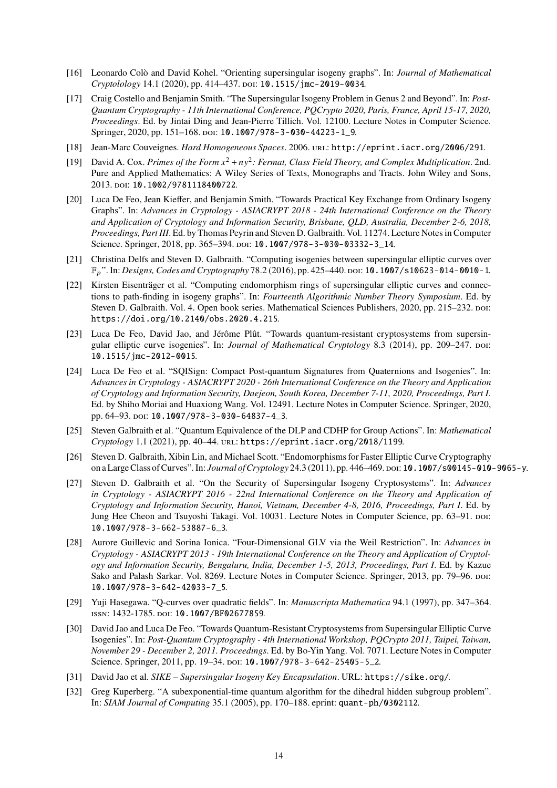- [16] Leonardo Colò and David Kohel. "Orienting supersingular isogeny graphs". In: *Journal of Mathematical Cryptolology* 14.1 (2020), pp. 414–437. doi: [10.1515/jmc-2019-0034](https://doi.org/10.1515/jmc-2019-0034).
- [17] Craig Costello and Benjamin Smith. "The Supersingular Isogeny Problem in Genus 2 and Beyond". In: *Post-Quantum Cryptography - 11th International Conference, PQCrypto 2020, Paris, France, April 15-17, 2020, Proceedings*. Ed. by Jintai Ding and Jean-Pierre Tillich. Vol. 12100. Lecture Notes in Computer Science. Springer, 2020, pp. 151-168. poi: [10.1007/978-3-030-44223-1\\_9](https://doi.org/10.1007/978-3-030-44223-1_9).
- [18] Jean-Marc Couveignes. *Hard Homogeneous Spaces*. 2006. url: <http://eprint.iacr.org/2006/291>.
- [19] David A. Cox. *Primes of the Form*  $x^2 + ny^2$ : *Fermat, Class Field Theory, and Complex Multiplication.* 2nd. Pure and Applied Mathematics: A Wiley Series of Texts, Monographs and Tracts. John Wiley and Sons, 2013. doi: [10.1002/9781118400722](https://doi.org/10.1002/9781118400722).
- [20] Luca De Feo, Jean Kieffer, and Benjamin Smith. "Towards Practical Key Exchange from Ordinary Isogeny Graphs". In: *Advances in Cryptology - ASIACRYPT 2018 - 24th International Conference on the Theory and Application of Cryptology and Information Security, Brisbane, QLD, Australia, December 2-6, 2018, Proceedings, Part III*. Ed. by Thomas Peyrin and Steven D. Galbraith. Vol. 11274. Lecture Notes in Computer Science. Springer, 2018, pp. 365–394. poi: [10.1007/978-3-030-03332-3\\_14](https://doi.org/10.1007/978-3-030-03332-3_14).
- [21] Christina Delfs and Steven D. Galbraith. "Computing isogenies between supersingular elliptic curves over F<sub>p</sub>". In: *Designs, Codes and Cryptography* 78.2 (2016), pp. 425-440. poi: [10.1007/s10623-014-0010-1](https://doi.org/10.1007/s10623-014-0010-1).
- [22] Kirsten Eisenträger et al. "Computing endomorphism rings of supersingular elliptic curves and connections to path-finding in isogeny graphs". In: *Fourteenth Algorithmic Number Theory Symposium*. Ed. by Steven D. Galbraith. Vol. 4. Open book series. Mathematical Sciences Publishers, 2020, pp. 215–232. poi: [https://doi.org/10.2140/obs.2020.4.215](https://doi.org/https://doi.org/10.2140/obs.2020.4.215).
- [23] Luca De Feo, David Jao, and Jérôme Plût. "Towards quantum-resistant cryptosystems from supersingular elliptic curve isogenies". In: *Journal of Mathematical Cryptology* 8.3 (2014), pp. 209–247. poi: [10.1515/jmc-2012-0015](https://doi.org/10.1515/jmc-2012-0015).
- [24] Luca De Feo et al. "SQISign: Compact Post-quantum Signatures from Quaternions and Isogenies". In: *Advances in Cryptology - ASIACRYPT 2020 - 26th International Conference on the Theory and Application of Cryptology and Information Security, Daejeon, South Korea, December 7-11, 2020, Proceedings, Part I*. Ed. by Shiho Moriai and Huaxiong Wang. Vol. 12491. Lecture Notes in Computer Science. Springer, 2020, pp. 64–93. poi: [10.1007/978-3-030-64837-4\\_3](https://doi.org/10.1007/978-3-030-64837-4_3).
- [25] Steven Galbraith et al. "Quantum Equivalence of the DLP and CDHP for Group Actions". In: *Mathematical Cryptology* 1.1 (2021), pp. 40–44. url: <https://eprint.iacr.org/2018/1199>.
- [26] Steven D. Galbraith, Xibin Lin, and Michael Scott. "Endomorphisms for Faster Elliptic Curve Cryptography on a Large Class of Curves". In: *Journal of Cryptology* 24.3 (2011), pp. 446–469. doi: [10.1007/s00145-010-9065-y](https://doi.org/10.1007/s00145-010-9065-y).
- [27] Steven D. Galbraith et al. "On the Security of Supersingular Isogeny Cryptosystems". In: *Advances in Cryptology - ASIACRYPT 2016 - 22nd International Conference on the Theory and Application of Cryptology and Information Security, Hanoi, Vietnam, December 4-8, 2016, Proceedings, Part I*. Ed. by Jung Hee Cheon and Tsuyoshi Takagi. Vol. 10031. Lecture Notes in Computer Science, pp. 63–91. poi: [10.1007/978-3-662-53887-6\\_3](https://doi.org/10.1007/978-3-662-53887-6_3).
- [28] Aurore Guillevic and Sorina Ionica. "Four-Dimensional GLV via the Weil Restriction". In: *Advances in Cryptology - ASIACRYPT 2013 - 19th International Conference on the Theory and Application of Cryptology and Information Security, Bengaluru, India, December 1-5, 2013, Proceedings, Part I*. Ed. by Kazue Sako and Palash Sarkar. Vol. 8269. Lecture Notes in Computer Science. Springer, 2013, pp. 79–96. poi: [10.1007/978-3-642-42033-7\\_5](https://doi.org/10.1007/978-3-642-42033-7_5).
- [29] Yuji Hasegawa. "Q-curves over quadratic fields". In: *Manuscripta Mathematica* 94.1 (1997), pp. 347–364. issn: 1432-1785. doi: [10.1007/BF02677859](https://doi.org/10.1007/BF02677859).
- [30] David Jao and Luca De Feo. "Towards Quantum-Resistant Cryptosystems from Supersingular Elliptic Curve Isogenies". In: *Post-Quantum Cryptography - 4th International Workshop, PQCrypto 2011, Taipei, Taiwan, November 29 - December 2, 2011. Proceedings*. Ed. by Bo-Yin Yang. Vol. 7071. Lecture Notes in Computer Science. Springer, 2011, pp. 19-34. poi: [10.1007/978-3-642-25405-5\\_2](https://doi.org/10.1007/978-3-642-25405-5_2).
- [31] David Jao et al. *SIKE Supersingular Isogeny Key Encapsulation*. URL: <https://sike.org/>.
- [32] Greg Kuperberg. "A subexponential-time quantum algorithm for the dihedral hidden subgroup problem". In: *SIAM Journal of Computing* 35.1 (2005), pp. 170–188. eprint: <quant-ph/0302112>.